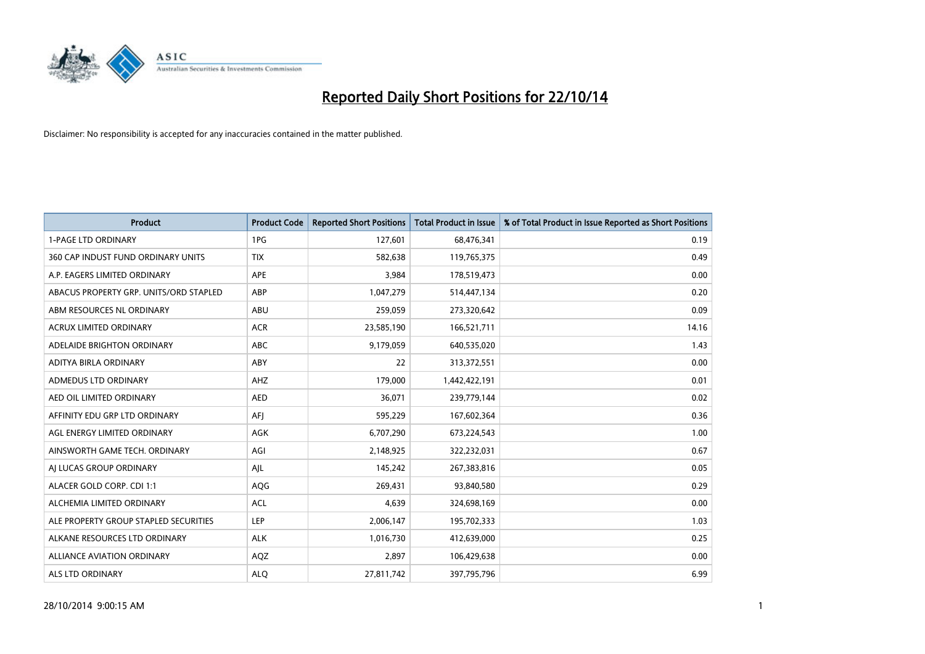

| <b>Product</b>                         | <b>Product Code</b> | <b>Reported Short Positions</b> | <b>Total Product in Issue</b> | % of Total Product in Issue Reported as Short Positions |
|----------------------------------------|---------------------|---------------------------------|-------------------------------|---------------------------------------------------------|
| <b>1-PAGE LTD ORDINARY</b>             | 1PG                 | 127,601                         | 68,476,341                    | 0.19                                                    |
| 360 CAP INDUST FUND ORDINARY UNITS     | <b>TIX</b>          | 582,638                         | 119,765,375                   | 0.49                                                    |
| A.P. EAGERS LIMITED ORDINARY           | <b>APE</b>          | 3,984                           | 178,519,473                   | 0.00                                                    |
| ABACUS PROPERTY GRP. UNITS/ORD STAPLED | ABP                 | 1,047,279                       | 514,447,134                   | 0.20                                                    |
| ABM RESOURCES NL ORDINARY              | ABU                 | 259,059                         | 273,320,642                   | 0.09                                                    |
| <b>ACRUX LIMITED ORDINARY</b>          | <b>ACR</b>          | 23,585,190                      | 166,521,711                   | 14.16                                                   |
| ADELAIDE BRIGHTON ORDINARY             | <b>ABC</b>          | 9,179,059                       | 640,535,020                   | 1.43                                                    |
| ADITYA BIRLA ORDINARY                  | ABY                 | 22                              | 313,372,551                   | 0.00                                                    |
| ADMEDUS LTD ORDINARY                   | AHZ                 | 179,000                         | 1,442,422,191                 | 0.01                                                    |
| AED OIL LIMITED ORDINARY               | <b>AED</b>          | 36,071                          | 239,779,144                   | 0.02                                                    |
| AFFINITY EDU GRP LTD ORDINARY          | AFI                 | 595,229                         | 167,602,364                   | 0.36                                                    |
| AGL ENERGY LIMITED ORDINARY            | AGK                 | 6,707,290                       | 673,224,543                   | 1.00                                                    |
| AINSWORTH GAME TECH. ORDINARY          | AGI                 | 2,148,925                       | 322,232,031                   | 0.67                                                    |
| AI LUCAS GROUP ORDINARY                | AJL                 | 145,242                         | 267,383,816                   | 0.05                                                    |
| ALACER GOLD CORP. CDI 1:1              | AQG                 | 269,431                         | 93,840,580                    | 0.29                                                    |
| ALCHEMIA LIMITED ORDINARY              | <b>ACL</b>          | 4,639                           | 324,698,169                   | 0.00                                                    |
| ALE PROPERTY GROUP STAPLED SECURITIES  | LEP                 | 2,006,147                       | 195,702,333                   | 1.03                                                    |
| ALKANE RESOURCES LTD ORDINARY          | <b>ALK</b>          | 1,016,730                       | 412,639,000                   | 0.25                                                    |
| ALLIANCE AVIATION ORDINARY             | AQZ                 | 2,897                           | 106,429,638                   | 0.00                                                    |
| ALS LTD ORDINARY                       | <b>ALO</b>          | 27,811,742                      | 397,795,796                   | 6.99                                                    |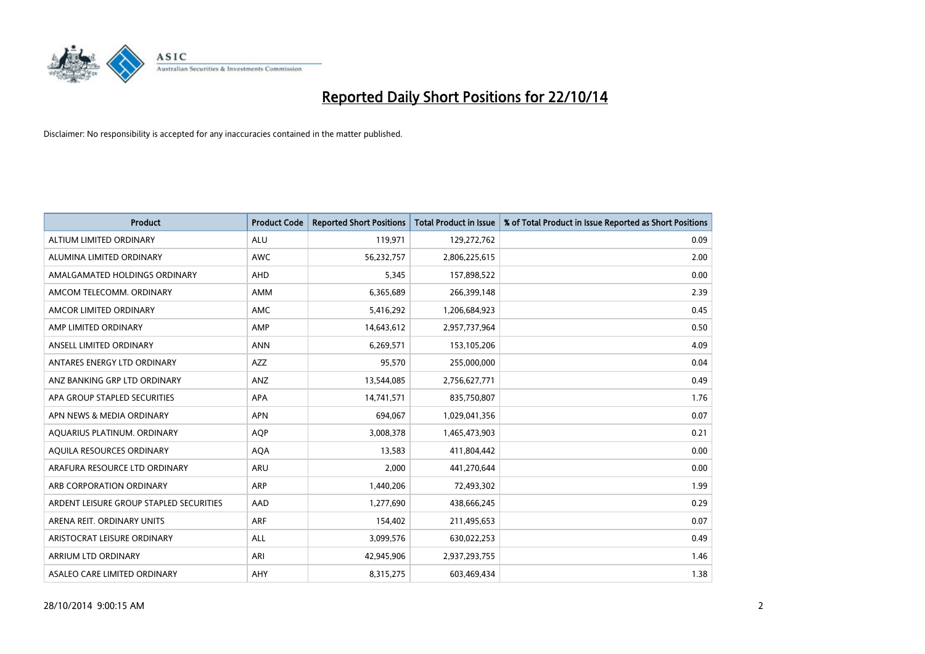

| <b>Product</b>                          | <b>Product Code</b> | <b>Reported Short Positions</b> | <b>Total Product in Issue</b> | % of Total Product in Issue Reported as Short Positions |
|-----------------------------------------|---------------------|---------------------------------|-------------------------------|---------------------------------------------------------|
| ALTIUM LIMITED ORDINARY                 | <b>ALU</b>          | 119,971                         | 129,272,762                   | 0.09                                                    |
| ALUMINA LIMITED ORDINARY                | AWC                 | 56,232,757                      | 2,806,225,615                 | 2.00                                                    |
| AMALGAMATED HOLDINGS ORDINARY           | AHD                 | 5,345                           | 157,898,522                   | 0.00                                                    |
| AMCOM TELECOMM. ORDINARY                | AMM                 | 6,365,689                       | 266,399,148                   | 2.39                                                    |
| AMCOR LIMITED ORDINARY                  | AMC                 | 5,416,292                       | 1,206,684,923                 | 0.45                                                    |
| AMP LIMITED ORDINARY                    | AMP                 | 14,643,612                      | 2,957,737,964                 | 0.50                                                    |
| ANSELL LIMITED ORDINARY                 | <b>ANN</b>          | 6,269,571                       | 153,105,206                   | 4.09                                                    |
| ANTARES ENERGY LTD ORDINARY             | AZZ                 | 95,570                          | 255,000,000                   | 0.04                                                    |
| ANZ BANKING GRP LTD ORDINARY            | ANZ                 | 13,544,085                      | 2,756,627,771                 | 0.49                                                    |
| APA GROUP STAPLED SECURITIES            | <b>APA</b>          | 14,741,571                      | 835,750,807                   | 1.76                                                    |
| APN NEWS & MEDIA ORDINARY               | <b>APN</b>          | 694,067                         | 1,029,041,356                 | 0.07                                                    |
| AQUARIUS PLATINUM. ORDINARY             | AQP                 | 3,008,378                       | 1,465,473,903                 | 0.21                                                    |
| AQUILA RESOURCES ORDINARY               | <b>AQA</b>          | 13,583                          | 411,804,442                   | 0.00                                                    |
| ARAFURA RESOURCE LTD ORDINARY           | ARU                 | 2,000                           | 441,270,644                   | 0.00                                                    |
| ARB CORPORATION ORDINARY                | <b>ARP</b>          | 1,440,206                       | 72,493,302                    | 1.99                                                    |
| ARDENT LEISURE GROUP STAPLED SECURITIES | AAD                 | 1,277,690                       | 438,666,245                   | 0.29                                                    |
| ARENA REIT. ORDINARY UNITS              | <b>ARF</b>          | 154,402                         | 211,495,653                   | 0.07                                                    |
| ARISTOCRAT LEISURE ORDINARY             | <b>ALL</b>          | 3,099,576                       | 630,022,253                   | 0.49                                                    |
| ARRIUM LTD ORDINARY                     | ARI                 | 42,945,906                      | 2,937,293,755                 | 1.46                                                    |
| ASALEO CARE LIMITED ORDINARY            | AHY                 | 8,315,275                       | 603,469,434                   | 1.38                                                    |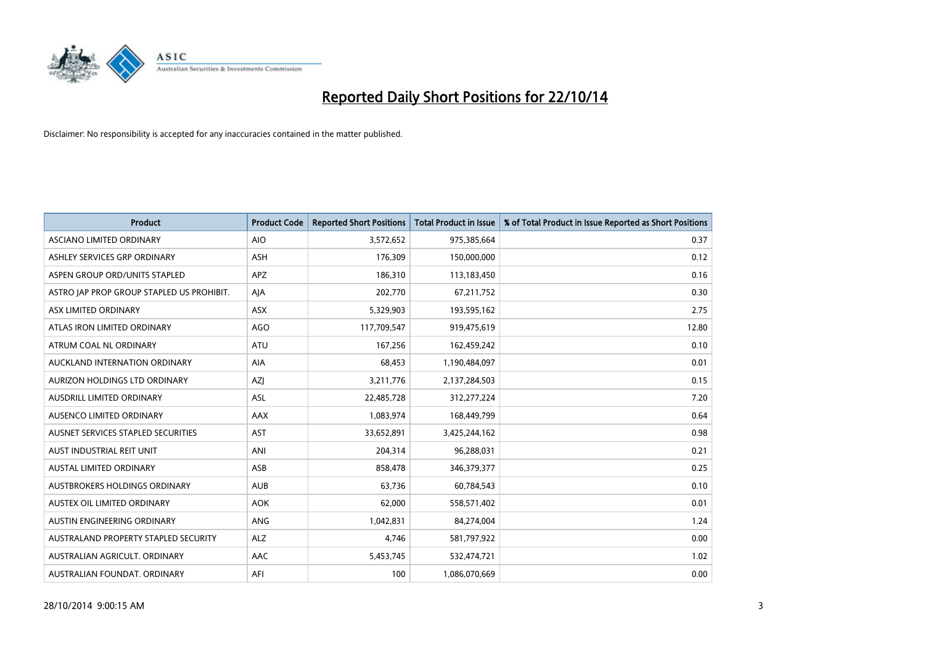

| <b>Product</b>                            | <b>Product Code</b> | <b>Reported Short Positions</b> | <b>Total Product in Issue</b> | % of Total Product in Issue Reported as Short Positions |
|-------------------------------------------|---------------------|---------------------------------|-------------------------------|---------------------------------------------------------|
| ASCIANO LIMITED ORDINARY                  | <b>AIO</b>          | 3,572,652                       | 975,385,664                   | 0.37                                                    |
| ASHLEY SERVICES GRP ORDINARY              | ASH                 | 176,309                         | 150,000,000                   | 0.12                                                    |
| ASPEN GROUP ORD/UNITS STAPLED             | <b>APZ</b>          | 186,310                         | 113,183,450                   | 0.16                                                    |
| ASTRO JAP PROP GROUP STAPLED US PROHIBIT. | AJA                 | 202,770                         | 67,211,752                    | 0.30                                                    |
| ASX LIMITED ORDINARY                      | ASX                 | 5,329,903                       | 193,595,162                   | 2.75                                                    |
| ATLAS IRON LIMITED ORDINARY               | <b>AGO</b>          | 117,709,547                     | 919,475,619                   | 12.80                                                   |
| ATRUM COAL NL ORDINARY                    | ATU                 | 167,256                         | 162,459,242                   | 0.10                                                    |
| AUCKLAND INTERNATION ORDINARY             | AIA                 | 68,453                          | 1,190,484,097                 | 0.01                                                    |
| AURIZON HOLDINGS LTD ORDINARY             | AZJ                 | 3,211,776                       | 2,137,284,503                 | 0.15                                                    |
| AUSDRILL LIMITED ORDINARY                 | <b>ASL</b>          | 22,485,728                      | 312,277,224                   | 7.20                                                    |
| AUSENCO LIMITED ORDINARY                  | AAX                 | 1,083,974                       | 168,449,799                   | 0.64                                                    |
| AUSNET SERVICES STAPLED SECURITIES        | <b>AST</b>          | 33,652,891                      | 3,425,244,162                 | 0.98                                                    |
| AUST INDUSTRIAL REIT UNIT                 | ANI                 | 204,314                         | 96,288,031                    | 0.21                                                    |
| <b>AUSTAL LIMITED ORDINARY</b>            | ASB                 | 858,478                         | 346,379,377                   | 0.25                                                    |
| AUSTBROKERS HOLDINGS ORDINARY             | <b>AUB</b>          | 63,736                          | 60,784,543                    | 0.10                                                    |
| AUSTEX OIL LIMITED ORDINARY               | <b>AOK</b>          | 62,000                          | 558,571,402                   | 0.01                                                    |
| AUSTIN ENGINEERING ORDINARY               | ANG                 | 1,042,831                       | 84,274,004                    | 1.24                                                    |
| AUSTRALAND PROPERTY STAPLED SECURITY      | <b>ALZ</b>          | 4,746                           | 581,797,922                   | 0.00                                                    |
| AUSTRALIAN AGRICULT, ORDINARY             | AAC                 | 5,453,745                       | 532,474,721                   | 1.02                                                    |
| AUSTRALIAN FOUNDAT. ORDINARY              | AFI                 | 100                             | 1,086,070,669                 | 0.00                                                    |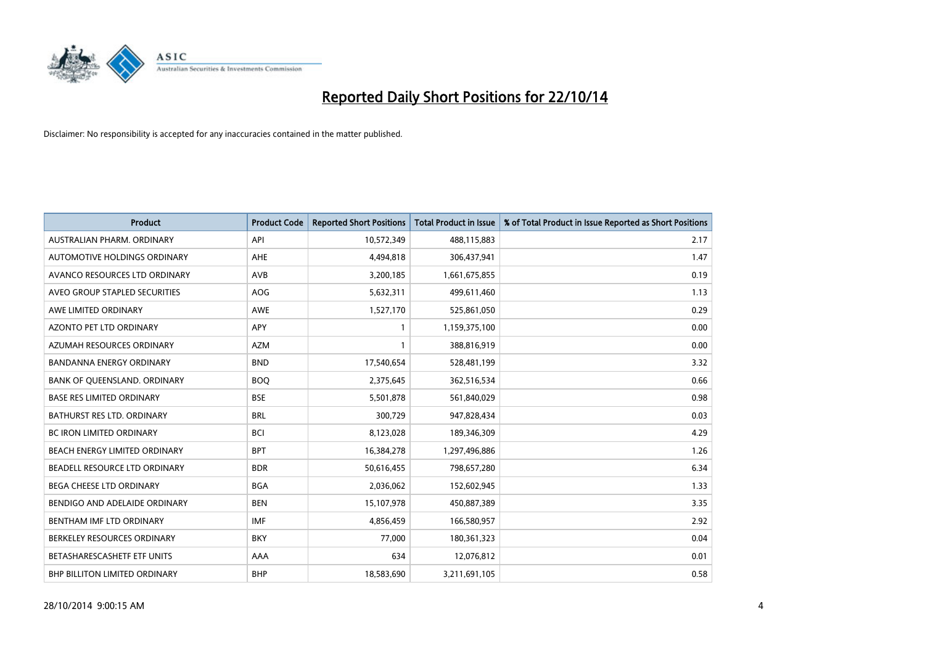

| <b>Product</b>                   | <b>Product Code</b> | <b>Reported Short Positions</b> | <b>Total Product in Issue</b> | % of Total Product in Issue Reported as Short Positions |
|----------------------------------|---------------------|---------------------------------|-------------------------------|---------------------------------------------------------|
| AUSTRALIAN PHARM, ORDINARY       | API                 | 10,572,349                      | 488,115,883                   | 2.17                                                    |
| AUTOMOTIVE HOLDINGS ORDINARY     | AHE                 | 4,494,818                       | 306,437,941                   | 1.47                                                    |
| AVANCO RESOURCES LTD ORDINARY    | AVB                 | 3,200,185                       | 1,661,675,855                 | 0.19                                                    |
| AVEO GROUP STAPLED SECURITIES    | <b>AOG</b>          | 5,632,311                       | 499,611,460                   | 1.13                                                    |
| AWE LIMITED ORDINARY             | <b>AWE</b>          | 1,527,170                       | 525,861,050                   | 0.29                                                    |
| <b>AZONTO PET LTD ORDINARY</b>   | APY                 | 1                               | 1,159,375,100                 | 0.00                                                    |
| AZUMAH RESOURCES ORDINARY        | <b>AZM</b>          | 1                               | 388,816,919                   | 0.00                                                    |
| <b>BANDANNA ENERGY ORDINARY</b>  | <b>BND</b>          | 17,540,654                      | 528,481,199                   | 3.32                                                    |
| BANK OF QUEENSLAND. ORDINARY     | <b>BOQ</b>          | 2,375,645                       | 362,516,534                   | 0.66                                                    |
| <b>BASE RES LIMITED ORDINARY</b> | <b>BSE</b>          | 5,501,878                       | 561,840,029                   | 0.98                                                    |
| BATHURST RES LTD. ORDINARY       | <b>BRL</b>          | 300,729                         | 947,828,434                   | 0.03                                                    |
| <b>BC IRON LIMITED ORDINARY</b>  | <b>BCI</b>          | 8,123,028                       | 189,346,309                   | 4.29                                                    |
| BEACH ENERGY LIMITED ORDINARY    | <b>BPT</b>          | 16,384,278                      | 1,297,496,886                 | 1.26                                                    |
| BEADELL RESOURCE LTD ORDINARY    | <b>BDR</b>          | 50,616,455                      | 798,657,280                   | 6.34                                                    |
| <b>BEGA CHEESE LTD ORDINARY</b>  | <b>BGA</b>          | 2,036,062                       | 152,602,945                   | 1.33                                                    |
| BENDIGO AND ADELAIDE ORDINARY    | <b>BEN</b>          | 15,107,978                      | 450,887,389                   | 3.35                                                    |
| BENTHAM IMF LTD ORDINARY         | <b>IMF</b>          | 4,856,459                       | 166,580,957                   | 2.92                                                    |
| BERKELEY RESOURCES ORDINARY      | <b>BKY</b>          | 77,000                          | 180,361,323                   | 0.04                                                    |
| BETASHARESCASHETF ETF UNITS      | AAA                 | 634                             | 12,076,812                    | 0.01                                                    |
| BHP BILLITON LIMITED ORDINARY    | <b>BHP</b>          | 18,583,690                      | 3,211,691,105                 | 0.58                                                    |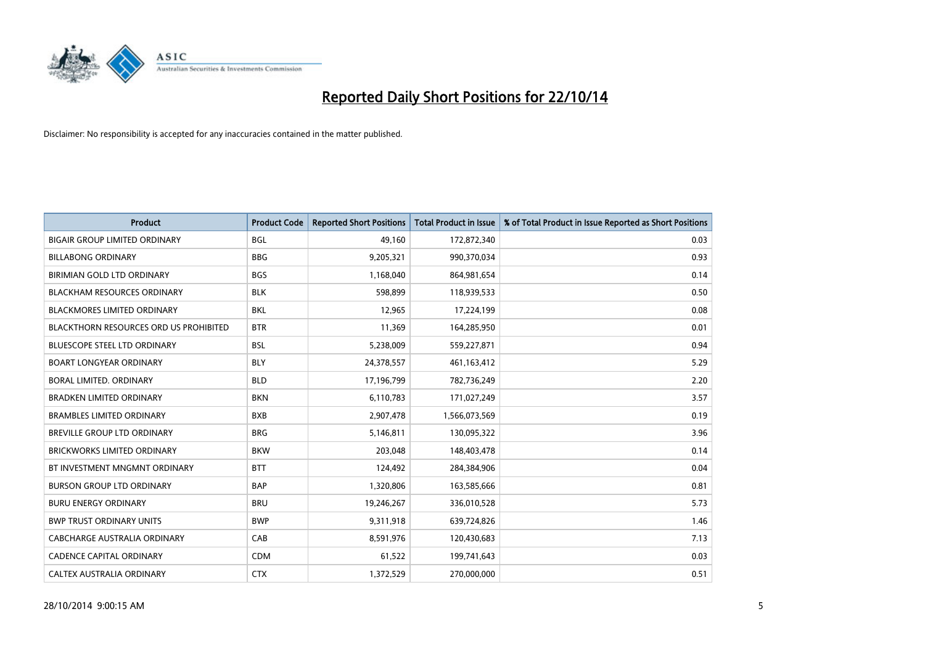

| Product                                       | <b>Product Code</b> | <b>Reported Short Positions</b> | <b>Total Product in Issue</b> | % of Total Product in Issue Reported as Short Positions |
|-----------------------------------------------|---------------------|---------------------------------|-------------------------------|---------------------------------------------------------|
| <b>BIGAIR GROUP LIMITED ORDINARY</b>          | <b>BGL</b>          | 49.160                          | 172,872,340                   | 0.03                                                    |
| <b>BILLABONG ORDINARY</b>                     | <b>BBG</b>          | 9,205,321                       | 990,370,034                   | 0.93                                                    |
| BIRIMIAN GOLD LTD ORDINARY                    | <b>BGS</b>          | 1,168,040                       | 864,981,654                   | 0.14                                                    |
| <b>BLACKHAM RESOURCES ORDINARY</b>            | <b>BLK</b>          | 598,899                         | 118,939,533                   | 0.50                                                    |
| <b>BLACKMORES LIMITED ORDINARY</b>            | <b>BKL</b>          | 12,965                          | 17,224,199                    | 0.08                                                    |
| <b>BLACKTHORN RESOURCES ORD US PROHIBITED</b> | <b>BTR</b>          | 11,369                          | 164,285,950                   | 0.01                                                    |
| <b>BLUESCOPE STEEL LTD ORDINARY</b>           | <b>BSL</b>          | 5,238,009                       | 559,227,871                   | 0.94                                                    |
| <b>BOART LONGYEAR ORDINARY</b>                | <b>BLY</b>          | 24,378,557                      | 461,163,412                   | 5.29                                                    |
| <b>BORAL LIMITED, ORDINARY</b>                | <b>BLD</b>          | 17,196,799                      | 782,736,249                   | 2.20                                                    |
| <b>BRADKEN LIMITED ORDINARY</b>               | <b>BKN</b>          | 6,110,783                       | 171,027,249                   | 3.57                                                    |
| <b>BRAMBLES LIMITED ORDINARY</b>              | <b>BXB</b>          | 2,907,478                       | 1,566,073,569                 | 0.19                                                    |
| BREVILLE GROUP LTD ORDINARY                   | <b>BRG</b>          | 5,146,811                       | 130,095,322                   | 3.96                                                    |
| <b>BRICKWORKS LIMITED ORDINARY</b>            | <b>BKW</b>          | 203,048                         | 148,403,478                   | 0.14                                                    |
| BT INVESTMENT MNGMNT ORDINARY                 | <b>BTT</b>          | 124,492                         | 284,384,906                   | 0.04                                                    |
| <b>BURSON GROUP LTD ORDINARY</b>              | <b>BAP</b>          | 1,320,806                       | 163,585,666                   | 0.81                                                    |
| <b>BURU ENERGY ORDINARY</b>                   | <b>BRU</b>          | 19,246,267                      | 336,010,528                   | 5.73                                                    |
| <b>BWP TRUST ORDINARY UNITS</b>               | <b>BWP</b>          | 9,311,918                       | 639,724,826                   | 1.46                                                    |
| CABCHARGE AUSTRALIA ORDINARY                  | CAB                 | 8,591,976                       | 120,430,683                   | 7.13                                                    |
| CADENCE CAPITAL ORDINARY                      | <b>CDM</b>          | 61,522                          | 199,741,643                   | 0.03                                                    |
| CALTEX AUSTRALIA ORDINARY                     | <b>CTX</b>          | 1,372,529                       | 270,000,000                   | 0.51                                                    |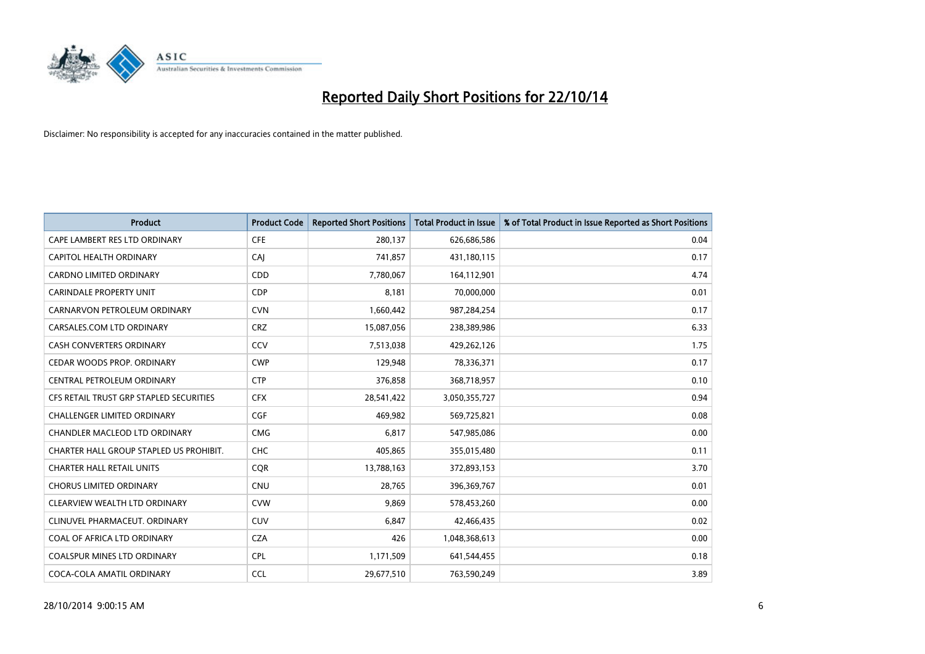

| <b>Product</b>                          | <b>Product Code</b> | <b>Reported Short Positions</b> | <b>Total Product in Issue</b> | % of Total Product in Issue Reported as Short Positions |
|-----------------------------------------|---------------------|---------------------------------|-------------------------------|---------------------------------------------------------|
| CAPE LAMBERT RES LTD ORDINARY           | <b>CFE</b>          | 280,137                         | 626,686,586                   | 0.04                                                    |
| CAPITOL HEALTH ORDINARY                 | CAI                 | 741,857                         | 431,180,115                   | 0.17                                                    |
| <b>CARDNO LIMITED ORDINARY</b>          | CDD                 | 7,780,067                       | 164,112,901                   | 4.74                                                    |
| CARINDALE PROPERTY UNIT                 | <b>CDP</b>          | 8,181                           | 70,000,000                    | 0.01                                                    |
| CARNARVON PETROLEUM ORDINARY            | <b>CVN</b>          | 1,660,442                       | 987,284,254                   | 0.17                                                    |
| CARSALES.COM LTD ORDINARY               | <b>CRZ</b>          | 15,087,056                      | 238,389,986                   | 6.33                                                    |
| CASH CONVERTERS ORDINARY                | CCV                 | 7,513,038                       | 429,262,126                   | 1.75                                                    |
| CEDAR WOODS PROP. ORDINARY              | <b>CWP</b>          | 129,948                         | 78,336,371                    | 0.17                                                    |
| CENTRAL PETROLEUM ORDINARY              | <b>CTP</b>          | 376,858                         | 368,718,957                   | 0.10                                                    |
| CFS RETAIL TRUST GRP STAPLED SECURITIES | <b>CFX</b>          | 28,541,422                      | 3,050,355,727                 | 0.94                                                    |
| CHALLENGER LIMITED ORDINARY             | <b>CGF</b>          | 469,982                         | 569,725,821                   | 0.08                                                    |
| CHANDLER MACLEOD LTD ORDINARY           | <b>CMG</b>          | 6,817                           | 547,985,086                   | 0.00                                                    |
| CHARTER HALL GROUP STAPLED US PROHIBIT. | <b>CHC</b>          | 405,865                         | 355,015,480                   | 0.11                                                    |
| <b>CHARTER HALL RETAIL UNITS</b>        | <b>COR</b>          | 13,788,163                      | 372,893,153                   | 3.70                                                    |
| <b>CHORUS LIMITED ORDINARY</b>          | CNU                 | 28,765                          | 396,369,767                   | 0.01                                                    |
| CLEARVIEW WEALTH LTD ORDINARY           | <b>CVW</b>          | 9,869                           | 578,453,260                   | 0.00                                                    |
| CLINUVEL PHARMACEUT. ORDINARY           | <b>CUV</b>          | 6,847                           | 42,466,435                    | 0.02                                                    |
| COAL OF AFRICA LTD ORDINARY             | <b>CZA</b>          | 426                             | 1,048,368,613                 | 0.00                                                    |
| <b>COALSPUR MINES LTD ORDINARY</b>      | <b>CPL</b>          | 1,171,509                       | 641,544,455                   | 0.18                                                    |
| COCA-COLA AMATIL ORDINARY               | <b>CCL</b>          | 29,677,510                      | 763,590,249                   | 3.89                                                    |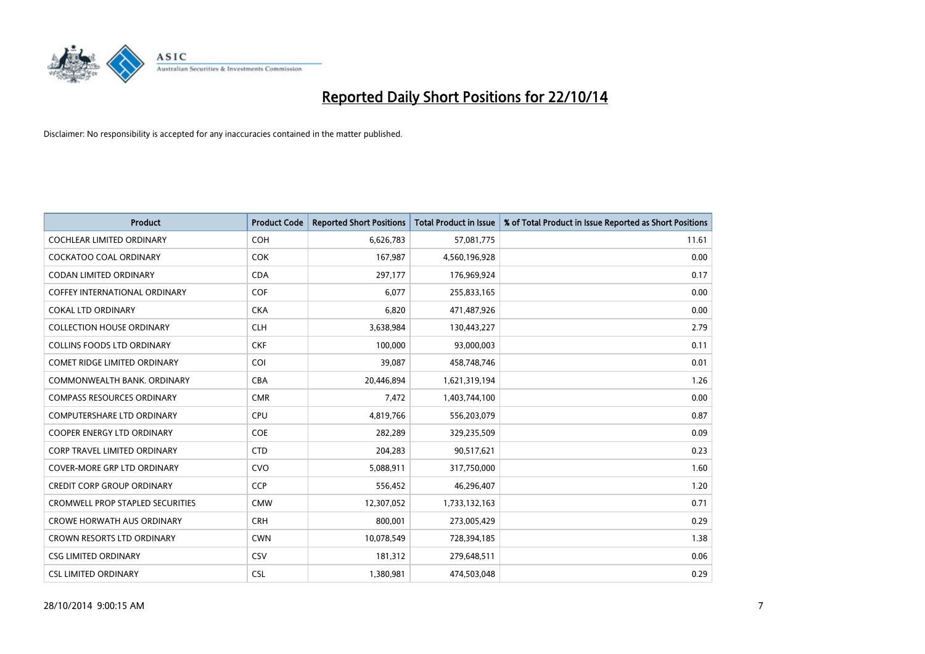

| <b>Product</b>                          | <b>Product Code</b> | <b>Reported Short Positions</b> | <b>Total Product in Issue</b> | % of Total Product in Issue Reported as Short Positions |
|-----------------------------------------|---------------------|---------------------------------|-------------------------------|---------------------------------------------------------|
| <b>COCHLEAR LIMITED ORDINARY</b>        | <b>COH</b>          | 6,626,783                       | 57,081,775                    | 11.61                                                   |
| COCKATOO COAL ORDINARY                  | <b>COK</b>          | 167,987                         | 4,560,196,928                 | 0.00                                                    |
| <b>CODAN LIMITED ORDINARY</b>           | <b>CDA</b>          | 297,177                         | 176,969,924                   | 0.17                                                    |
| <b>COFFEY INTERNATIONAL ORDINARY</b>    | <b>COF</b>          | 6,077                           | 255,833,165                   | 0.00                                                    |
| <b>COKAL LTD ORDINARY</b>               | <b>CKA</b>          | 6,820                           | 471,487,926                   | 0.00                                                    |
| <b>COLLECTION HOUSE ORDINARY</b>        | <b>CLH</b>          | 3,638,984                       | 130,443,227                   | 2.79                                                    |
| <b>COLLINS FOODS LTD ORDINARY</b>       | <b>CKF</b>          | 100,000                         | 93,000,003                    | 0.11                                                    |
| COMET RIDGE LIMITED ORDINARY            | <b>COI</b>          | 39,087                          | 458,748,746                   | 0.01                                                    |
| COMMONWEALTH BANK, ORDINARY             | <b>CBA</b>          | 20,446,894                      | 1,621,319,194                 | 1.26                                                    |
| <b>COMPASS RESOURCES ORDINARY</b>       | <b>CMR</b>          | 7,472                           | 1,403,744,100                 | 0.00                                                    |
| COMPUTERSHARE LTD ORDINARY              | <b>CPU</b>          | 4,819,766                       | 556,203,079                   | 0.87                                                    |
| <b>COOPER ENERGY LTD ORDINARY</b>       | <b>COE</b>          | 282,289                         | 329,235,509                   | 0.09                                                    |
| <b>CORP TRAVEL LIMITED ORDINARY</b>     | <b>CTD</b>          | 204,283                         | 90,517,621                    | 0.23                                                    |
| <b>COVER-MORE GRP LTD ORDINARY</b>      | <b>CVO</b>          | 5,088,911                       | 317,750,000                   | 1.60                                                    |
| <b>CREDIT CORP GROUP ORDINARY</b>       | <b>CCP</b>          | 556,452                         | 46,296,407                    | 1.20                                                    |
| <b>CROMWELL PROP STAPLED SECURITIES</b> | <b>CMW</b>          | 12,307,052                      | 1,733,132,163                 | 0.71                                                    |
| <b>CROWE HORWATH AUS ORDINARY</b>       | <b>CRH</b>          | 800,001                         | 273,005,429                   | 0.29                                                    |
| CROWN RESORTS LTD ORDINARY              | <b>CWN</b>          | 10,078,549                      | 728,394,185                   | 1.38                                                    |
| <b>CSG LIMITED ORDINARY</b>             | CSV                 | 181,312                         | 279,648,511                   | 0.06                                                    |
| <b>CSL LIMITED ORDINARY</b>             | <b>CSL</b>          | 1,380,981                       | 474,503,048                   | 0.29                                                    |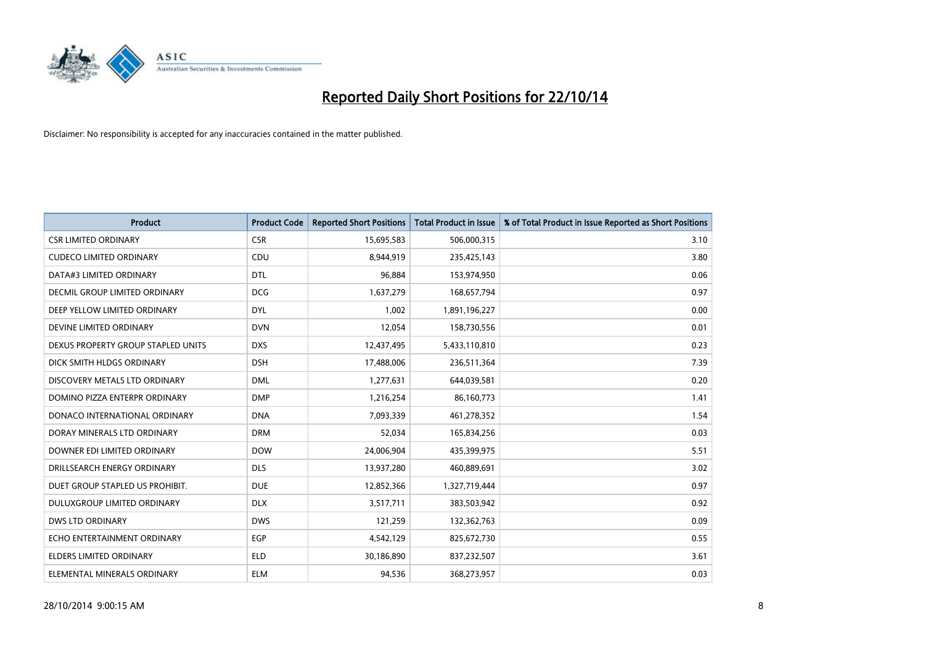

| <b>Product</b>                     | <b>Product Code</b> | <b>Reported Short Positions</b> | <b>Total Product in Issue</b> | % of Total Product in Issue Reported as Short Positions |
|------------------------------------|---------------------|---------------------------------|-------------------------------|---------------------------------------------------------|
| <b>CSR LIMITED ORDINARY</b>        | <b>CSR</b>          | 15,695,583                      | 506,000,315                   | 3.10                                                    |
| <b>CUDECO LIMITED ORDINARY</b>     | CDU                 | 8,944,919                       | 235,425,143                   | 3.80                                                    |
| DATA#3 LIMITED ORDINARY            | <b>DTL</b>          | 96,884                          | 153,974,950                   | 0.06                                                    |
| DECMIL GROUP LIMITED ORDINARY      | <b>DCG</b>          | 1,637,279                       | 168,657,794                   | 0.97                                                    |
| DEEP YELLOW LIMITED ORDINARY       | <b>DYL</b>          | 1,002                           | 1,891,196,227                 | 0.00                                                    |
| DEVINE LIMITED ORDINARY            | <b>DVN</b>          | 12,054                          | 158,730,556                   | 0.01                                                    |
| DEXUS PROPERTY GROUP STAPLED UNITS | <b>DXS</b>          | 12,437,495                      | 5,433,110,810                 | 0.23                                                    |
| DICK SMITH HLDGS ORDINARY          | <b>DSH</b>          | 17,488,006                      | 236,511,364                   | 7.39                                                    |
| DISCOVERY METALS LTD ORDINARY      | <b>DML</b>          | 1,277,631                       | 644,039,581                   | 0.20                                                    |
| DOMINO PIZZA ENTERPR ORDINARY      | <b>DMP</b>          | 1,216,254                       | 86,160,773                    | 1.41                                                    |
| DONACO INTERNATIONAL ORDINARY      | <b>DNA</b>          | 7,093,339                       | 461,278,352                   | 1.54                                                    |
| DORAY MINERALS LTD ORDINARY        | <b>DRM</b>          | 52,034                          | 165,834,256                   | 0.03                                                    |
| DOWNER EDI LIMITED ORDINARY        | <b>DOW</b>          | 24,006,904                      | 435,399,975                   | 5.51                                                    |
| DRILLSEARCH ENERGY ORDINARY        | <b>DLS</b>          | 13,937,280                      | 460,889,691                   | 3.02                                                    |
| DUET GROUP STAPLED US PROHIBIT.    | <b>DUE</b>          | 12,852,366                      | 1,327,719,444                 | 0.97                                                    |
| DULUXGROUP LIMITED ORDINARY        | <b>DLX</b>          | 3,517,711                       | 383,503,942                   | 0.92                                                    |
| <b>DWS LTD ORDINARY</b>            | <b>DWS</b>          | 121,259                         | 132,362,763                   | 0.09                                                    |
| ECHO ENTERTAINMENT ORDINARY        | <b>EGP</b>          | 4,542,129                       | 825,672,730                   | 0.55                                                    |
| <b>ELDERS LIMITED ORDINARY</b>     | <b>ELD</b>          | 30,186,890                      | 837,232,507                   | 3.61                                                    |
| ELEMENTAL MINERALS ORDINARY        | <b>ELM</b>          | 94.536                          | 368,273,957                   | 0.03                                                    |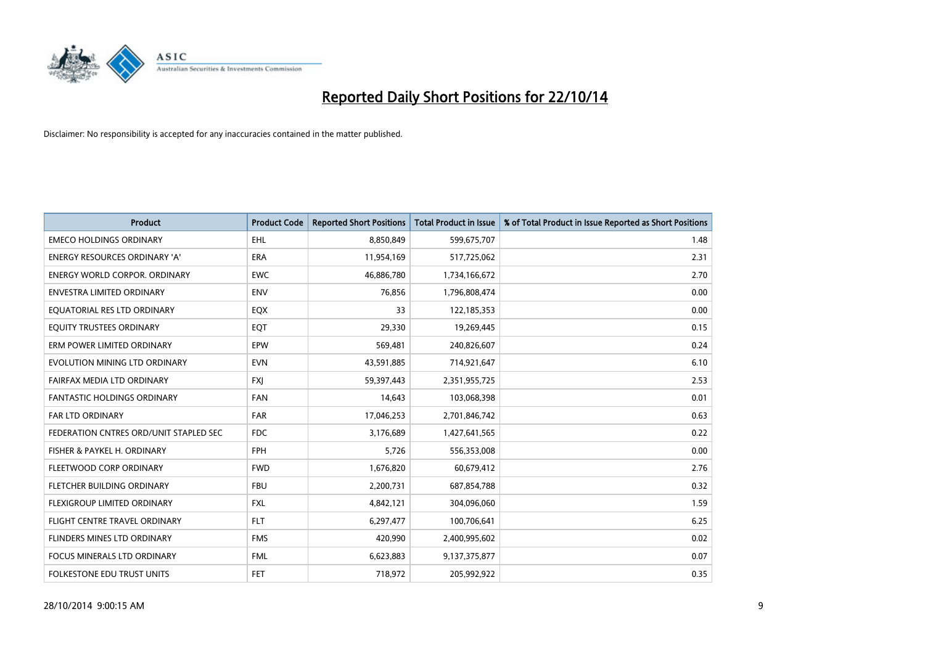

| <b>Product</b>                         | <b>Product Code</b> | <b>Reported Short Positions</b> | <b>Total Product in Issue</b> | % of Total Product in Issue Reported as Short Positions |
|----------------------------------------|---------------------|---------------------------------|-------------------------------|---------------------------------------------------------|
| <b>EMECO HOLDINGS ORDINARY</b>         | <b>EHL</b>          | 8,850,849                       | 599,675,707                   | 1.48                                                    |
| ENERGY RESOURCES ORDINARY 'A'          | <b>ERA</b>          | 11,954,169                      | 517,725,062                   | 2.31                                                    |
| ENERGY WORLD CORPOR. ORDINARY          | <b>EWC</b>          | 46,886,780                      | 1,734,166,672                 | 2.70                                                    |
| ENVESTRA LIMITED ORDINARY              | <b>ENV</b>          | 76,856                          | 1,796,808,474                 | 0.00                                                    |
| EOUATORIAL RES LTD ORDINARY            | EQX                 | 33                              | 122,185,353                   | 0.00                                                    |
| EQUITY TRUSTEES ORDINARY               | EQT                 | 29,330                          | 19,269,445                    | 0.15                                                    |
| ERM POWER LIMITED ORDINARY             | <b>EPW</b>          | 569,481                         | 240,826,607                   | 0.24                                                    |
| EVOLUTION MINING LTD ORDINARY          | <b>EVN</b>          | 43,591,885                      | 714,921,647                   | 6.10                                                    |
| FAIRFAX MEDIA LTD ORDINARY             | <b>FXI</b>          | 59,397,443                      | 2,351,955,725                 | 2.53                                                    |
| <b>FANTASTIC HOLDINGS ORDINARY</b>     | <b>FAN</b>          | 14,643                          | 103,068,398                   | 0.01                                                    |
| FAR LTD ORDINARY                       | FAR                 | 17,046,253                      | 2,701,846,742                 | 0.63                                                    |
| FEDERATION CNTRES ORD/UNIT STAPLED SEC | <b>FDC</b>          | 3,176,689                       | 1,427,641,565                 | 0.22                                                    |
| FISHER & PAYKEL H. ORDINARY            | <b>FPH</b>          | 5,726                           | 556,353,008                   | 0.00                                                    |
| FLEETWOOD CORP ORDINARY                | <b>FWD</b>          | 1,676,820                       | 60,679,412                    | 2.76                                                    |
| FLETCHER BUILDING ORDINARY             | <b>FBU</b>          | 2,200,731                       | 687,854,788                   | 0.32                                                    |
| FLEXIGROUP LIMITED ORDINARY            | <b>FXL</b>          | 4,842,121                       | 304,096,060                   | 1.59                                                    |
| FLIGHT CENTRE TRAVEL ORDINARY          | <b>FLT</b>          | 6,297,477                       | 100,706,641                   | 6.25                                                    |
| FLINDERS MINES LTD ORDINARY            | <b>FMS</b>          | 420,990                         | 2,400,995,602                 | 0.02                                                    |
| <b>FOCUS MINERALS LTD ORDINARY</b>     | <b>FML</b>          | 6,623,883                       | 9,137,375,877                 | 0.07                                                    |
| FOLKESTONE EDU TRUST UNITS             | <b>FET</b>          | 718,972                         | 205,992,922                   | 0.35                                                    |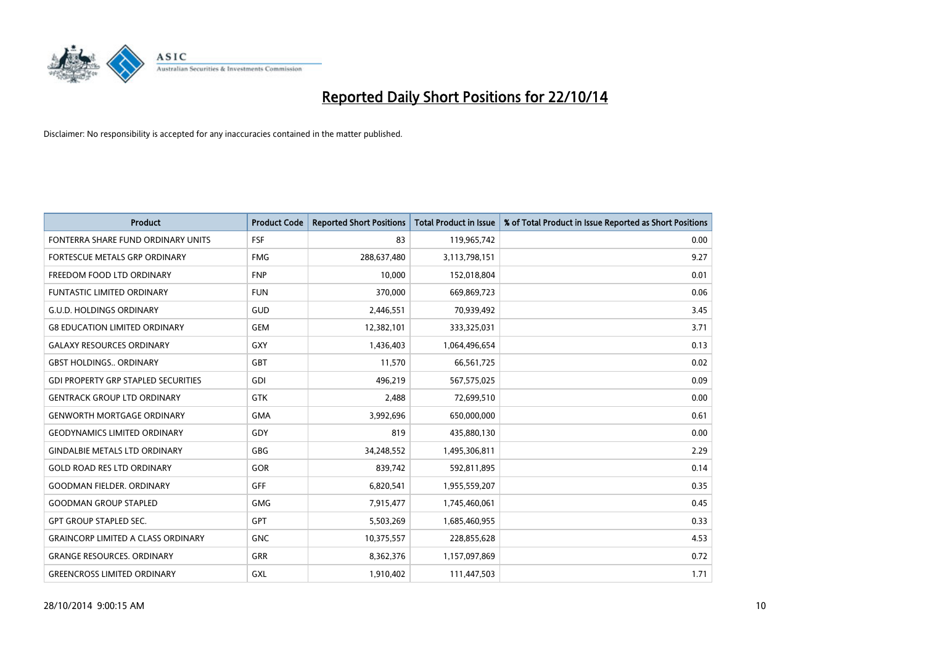

| <b>Product</b>                             | <b>Product Code</b> | <b>Reported Short Positions</b> | <b>Total Product in Issue</b> | % of Total Product in Issue Reported as Short Positions |
|--------------------------------------------|---------------------|---------------------------------|-------------------------------|---------------------------------------------------------|
| FONTERRA SHARE FUND ORDINARY UNITS         | <b>FSF</b>          | 83                              | 119,965,742                   | 0.00                                                    |
| FORTESCUE METALS GRP ORDINARY              | <b>FMG</b>          | 288,637,480                     | 3,113,798,151                 | 9.27                                                    |
| FREEDOM FOOD LTD ORDINARY                  | <b>FNP</b>          | 10,000                          | 152,018,804                   | 0.01                                                    |
| FUNTASTIC LIMITED ORDINARY                 | <b>FUN</b>          | 370,000                         | 669,869,723                   | 0.06                                                    |
| <b>G.U.D. HOLDINGS ORDINARY</b>            | GUD                 | 2,446,551                       | 70,939,492                    | 3.45                                                    |
| <b>G8 EDUCATION LIMITED ORDINARY</b>       | <b>GEM</b>          | 12,382,101                      | 333,325,031                   | 3.71                                                    |
| <b>GALAXY RESOURCES ORDINARY</b>           | GXY                 | 1,436,403                       | 1,064,496,654                 | 0.13                                                    |
| <b>GBST HOLDINGS ORDINARY</b>              | <b>GBT</b>          | 11,570                          | 66,561,725                    | 0.02                                                    |
| <b>GDI PROPERTY GRP STAPLED SECURITIES</b> | <b>GDI</b>          | 496,219                         | 567,575,025                   | 0.09                                                    |
| <b>GENTRACK GROUP LTD ORDINARY</b>         | <b>GTK</b>          | 2,488                           | 72,699,510                    | 0.00                                                    |
| <b>GENWORTH MORTGAGE ORDINARY</b>          | <b>GMA</b>          | 3,992,696                       | 650,000,000                   | 0.61                                                    |
| <b>GEODYNAMICS LIMITED ORDINARY</b>        | GDY                 | 819                             | 435,880,130                   | 0.00                                                    |
| <b>GINDALBIE METALS LTD ORDINARY</b>       | GBG                 | 34,248,552                      | 1,495,306,811                 | 2.29                                                    |
| <b>GOLD ROAD RES LTD ORDINARY</b>          | GOR                 | 839,742                         | 592,811,895                   | 0.14                                                    |
| <b>GOODMAN FIELDER, ORDINARY</b>           | <b>GFF</b>          | 6,820,541                       | 1,955,559,207                 | 0.35                                                    |
| <b>GOODMAN GROUP STAPLED</b>               | <b>GMG</b>          | 7,915,477                       | 1,745,460,061                 | 0.45                                                    |
| <b>GPT GROUP STAPLED SEC.</b>              | GPT                 | 5,503,269                       | 1,685,460,955                 | 0.33                                                    |
| <b>GRAINCORP LIMITED A CLASS ORDINARY</b>  | <b>GNC</b>          | 10,375,557                      | 228,855,628                   | 4.53                                                    |
| <b>GRANGE RESOURCES, ORDINARY</b>          | <b>GRR</b>          | 8,362,376                       | 1,157,097,869                 | 0.72                                                    |
| <b>GREENCROSS LIMITED ORDINARY</b>         | GXL                 | 1,910,402                       | 111,447,503                   | 1.71                                                    |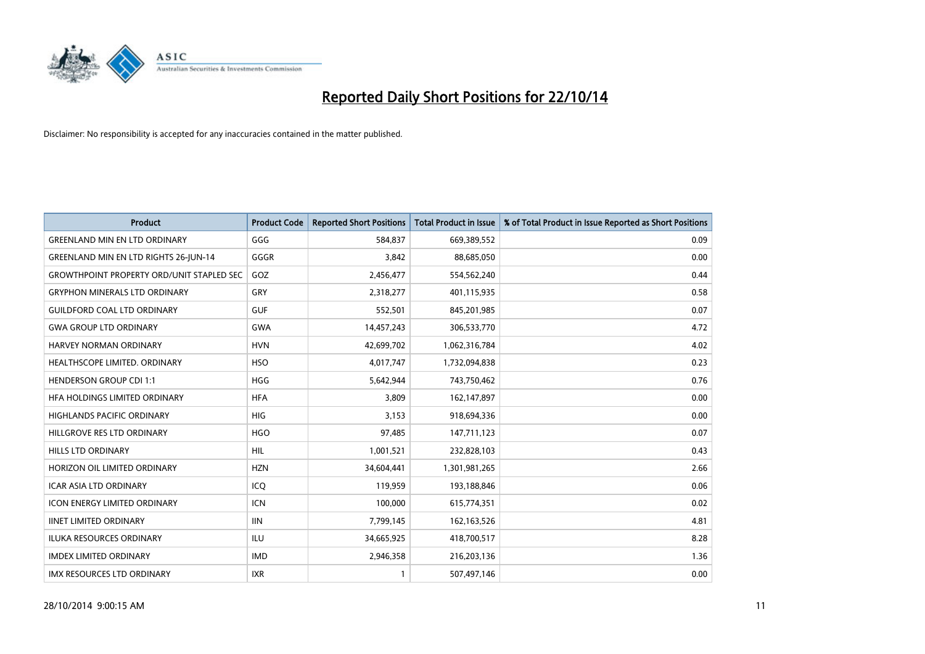

| <b>Product</b>                                   | <b>Product Code</b> | <b>Reported Short Positions</b> | <b>Total Product in Issue</b> | % of Total Product in Issue Reported as Short Positions |
|--------------------------------------------------|---------------------|---------------------------------|-------------------------------|---------------------------------------------------------|
| <b>GREENLAND MIN EN LTD ORDINARY</b>             | GGG                 | 584,837                         | 669,389,552                   | 0.09                                                    |
| <b>GREENLAND MIN EN LTD RIGHTS 26-JUN-14</b>     | GGGR                | 3,842                           | 88,685,050                    | 0.00                                                    |
| <b>GROWTHPOINT PROPERTY ORD/UNIT STAPLED SEC</b> | GOZ                 | 2,456,477                       | 554,562,240                   | 0.44                                                    |
| <b>GRYPHON MINERALS LTD ORDINARY</b>             | GRY                 | 2,318,277                       | 401,115,935                   | 0.58                                                    |
| <b>GUILDFORD COAL LTD ORDINARY</b>               | <b>GUF</b>          | 552,501                         | 845,201,985                   | 0.07                                                    |
| <b>GWA GROUP LTD ORDINARY</b>                    | <b>GWA</b>          | 14,457,243                      | 306,533,770                   | 4.72                                                    |
| <b>HARVEY NORMAN ORDINARY</b>                    | <b>HVN</b>          | 42,699,702                      | 1,062,316,784                 | 4.02                                                    |
| HEALTHSCOPE LIMITED. ORDINARY                    | <b>HSO</b>          | 4,017,747                       | 1,732,094,838                 | 0.23                                                    |
| <b>HENDERSON GROUP CDI 1:1</b>                   | <b>HGG</b>          | 5,642,944                       | 743,750,462                   | 0.76                                                    |
| HFA HOLDINGS LIMITED ORDINARY                    | <b>HFA</b>          | 3,809                           | 162,147,897                   | 0.00                                                    |
| HIGHLANDS PACIFIC ORDINARY                       | <b>HIG</b>          | 3,153                           | 918,694,336                   | 0.00                                                    |
| HILLGROVE RES LTD ORDINARY                       | <b>HGO</b>          | 97,485                          | 147,711,123                   | 0.07                                                    |
| HILLS LTD ORDINARY                               | HIL                 | 1,001,521                       | 232,828,103                   | 0.43                                                    |
| HORIZON OIL LIMITED ORDINARY                     | <b>HZN</b>          | 34,604,441                      | 1,301,981,265                 | 2.66                                                    |
| <b>ICAR ASIA LTD ORDINARY</b>                    | ICQ                 | 119,959                         | 193,188,846                   | 0.06                                                    |
| <b>ICON ENERGY LIMITED ORDINARY</b>              | <b>ICN</b>          | 100,000                         | 615,774,351                   | 0.02                                                    |
| <b>IINET LIMITED ORDINARY</b>                    | <b>IIN</b>          | 7,799,145                       | 162,163,526                   | 4.81                                                    |
| ILUKA RESOURCES ORDINARY                         | ILU                 | 34,665,925                      | 418,700,517                   | 8.28                                                    |
| <b>IMDEX LIMITED ORDINARY</b>                    | <b>IMD</b>          | 2,946,358                       | 216,203,136                   | 1.36                                                    |
| IMX RESOURCES LTD ORDINARY                       | <b>IXR</b>          | $\mathbf{1}$                    | 507,497,146                   | 0.00                                                    |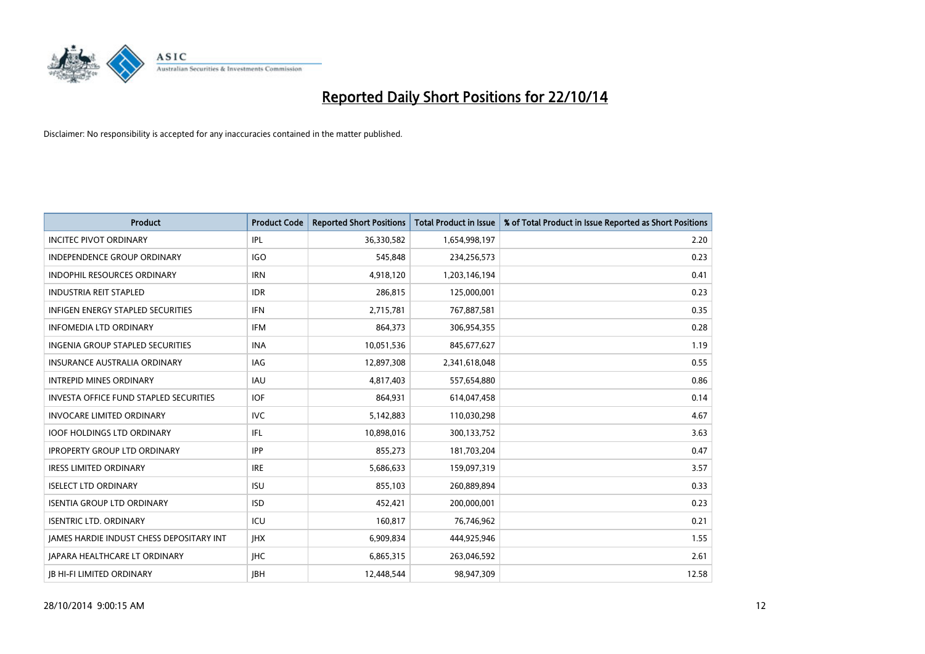

| <b>Product</b>                           | <b>Product Code</b> | <b>Reported Short Positions</b> | <b>Total Product in Issue</b> | % of Total Product in Issue Reported as Short Positions |
|------------------------------------------|---------------------|---------------------------------|-------------------------------|---------------------------------------------------------|
| <b>INCITEC PIVOT ORDINARY</b>            | IPL                 | 36,330,582                      | 1,654,998,197                 | 2.20                                                    |
| INDEPENDENCE GROUP ORDINARY              | <b>IGO</b>          | 545,848                         | 234,256,573                   | 0.23                                                    |
| <b>INDOPHIL RESOURCES ORDINARY</b>       | <b>IRN</b>          | 4,918,120                       | 1,203,146,194                 | 0.41                                                    |
| <b>INDUSTRIA REIT STAPLED</b>            | <b>IDR</b>          | 286,815                         | 125,000,001                   | 0.23                                                    |
| <b>INFIGEN ENERGY STAPLED SECURITIES</b> | <b>IFN</b>          | 2,715,781                       | 767,887,581                   | 0.35                                                    |
| <b>INFOMEDIA LTD ORDINARY</b>            | <b>IFM</b>          | 864,373                         | 306,954,355                   | 0.28                                                    |
| <b>INGENIA GROUP STAPLED SECURITIES</b>  | <b>INA</b>          | 10,051,536                      | 845,677,627                   | 1.19                                                    |
| <b>INSURANCE AUSTRALIA ORDINARY</b>      | IAG                 | 12,897,308                      | 2,341,618,048                 | 0.55                                                    |
| <b>INTREPID MINES ORDINARY</b>           | IAU                 | 4,817,403                       | 557,654,880                   | 0.86                                                    |
| INVESTA OFFICE FUND STAPLED SECURITIES   | IOF.                | 864,931                         | 614,047,458                   | 0.14                                                    |
| <b>INVOCARE LIMITED ORDINARY</b>         | <b>IVC</b>          | 5,142,883                       | 110,030,298                   | 4.67                                                    |
| <b>IOOF HOLDINGS LTD ORDINARY</b>        | IFL                 | 10,898,016                      | 300,133,752                   | 3.63                                                    |
| <b>IPROPERTY GROUP LTD ORDINARY</b>      | <b>IPP</b>          | 855,273                         | 181,703,204                   | 0.47                                                    |
| <b>IRESS LIMITED ORDINARY</b>            | <b>IRE</b>          | 5,686,633                       | 159,097,319                   | 3.57                                                    |
| <b>ISELECT LTD ORDINARY</b>              | <b>ISU</b>          | 855,103                         | 260,889,894                   | 0.33                                                    |
| <b>ISENTIA GROUP LTD ORDINARY</b>        | <b>ISD</b>          | 452,421                         | 200,000,001                   | 0.23                                                    |
| <b>ISENTRIC LTD. ORDINARY</b>            | ICU                 | 160,817                         | 76,746,962                    | 0.21                                                    |
| JAMES HARDIE INDUST CHESS DEPOSITARY INT | <b>IHX</b>          | 6,909,834                       | 444,925,946                   | 1.55                                                    |
| <b>IAPARA HEALTHCARE LT ORDINARY</b>     | <b>IHC</b>          | 6,865,315                       | 263,046,592                   | 2.61                                                    |
| <b>IB HI-FI LIMITED ORDINARY</b>         | <b>JBH</b>          | 12,448,544                      | 98,947,309                    | 12.58                                                   |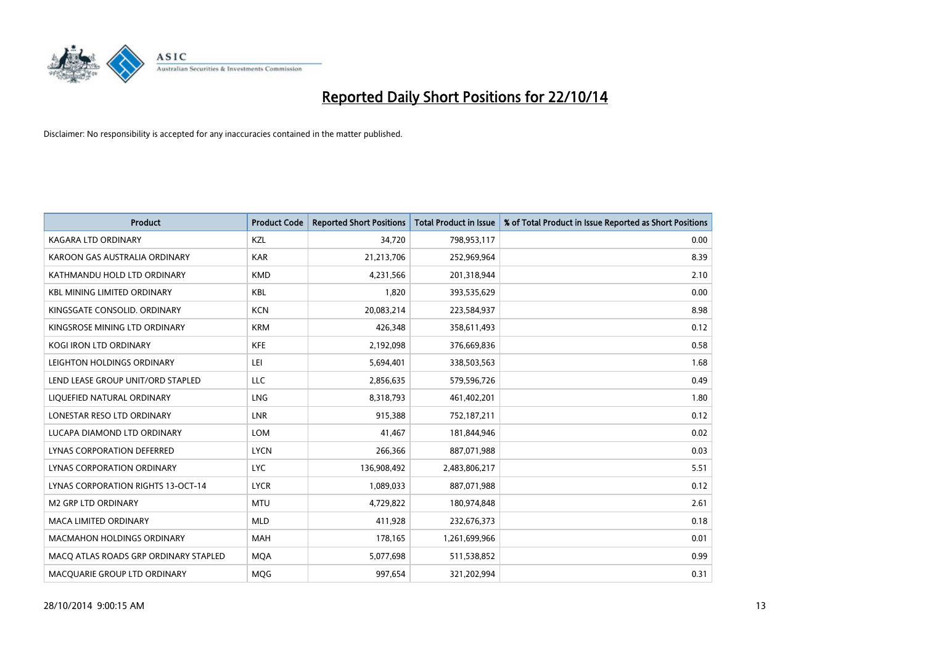

| <b>Product</b>                            | <b>Product Code</b> | <b>Reported Short Positions</b> | <b>Total Product in Issue</b> | % of Total Product in Issue Reported as Short Positions |
|-------------------------------------------|---------------------|---------------------------------|-------------------------------|---------------------------------------------------------|
| <b>KAGARA LTD ORDINARY</b>                | KZL                 | 34,720                          | 798,953,117                   | 0.00                                                    |
| KAROON GAS AUSTRALIA ORDINARY             | <b>KAR</b>          | 21,213,706                      | 252,969,964                   | 8.39                                                    |
| KATHMANDU HOLD LTD ORDINARY               | <b>KMD</b>          | 4,231,566                       | 201,318,944                   | 2.10                                                    |
| <b>KBL MINING LIMITED ORDINARY</b>        | <b>KBL</b>          | 1,820                           | 393,535,629                   | 0.00                                                    |
| KINGSGATE CONSOLID, ORDINARY              | <b>KCN</b>          | 20,083,214                      | 223,584,937                   | 8.98                                                    |
| KINGSROSE MINING LTD ORDINARY             | <b>KRM</b>          | 426,348                         | 358,611,493                   | 0.12                                                    |
| <b>KOGI IRON LTD ORDINARY</b>             | <b>KFE</b>          | 2,192,098                       | 376,669,836                   | 0.58                                                    |
| LEIGHTON HOLDINGS ORDINARY                | LEI                 | 5,694,401                       | 338,503,563                   | 1.68                                                    |
| LEND LEASE GROUP UNIT/ORD STAPLED         | <b>LLC</b>          | 2,856,635                       | 579,596,726                   | 0.49                                                    |
| LIQUEFIED NATURAL ORDINARY                | <b>LNG</b>          | 8,318,793                       | 461,402,201                   | 1.80                                                    |
| LONESTAR RESO LTD ORDINARY                | <b>LNR</b>          | 915,388                         | 752,187,211                   | 0.12                                                    |
| LUCAPA DIAMOND LTD ORDINARY               | LOM                 | 41,467                          | 181,844,946                   | 0.02                                                    |
| LYNAS CORPORATION DEFERRED                | <b>LYCN</b>         | 266,366                         | 887,071,988                   | 0.03                                                    |
| LYNAS CORPORATION ORDINARY                | <b>LYC</b>          | 136,908,492                     | 2,483,806,217                 | 5.51                                                    |
| <b>LYNAS CORPORATION RIGHTS 13-OCT-14</b> | <b>LYCR</b>         | 1,089,033                       | 887,071,988                   | 0.12                                                    |
| M2 GRP LTD ORDINARY                       | <b>MTU</b>          | 4,729,822                       | 180,974,848                   | 2.61                                                    |
| MACA LIMITED ORDINARY                     | <b>MLD</b>          | 411,928                         | 232,676,373                   | 0.18                                                    |
| MACMAHON HOLDINGS ORDINARY                | <b>MAH</b>          | 178,165                         | 1,261,699,966                 | 0.01                                                    |
| MACO ATLAS ROADS GRP ORDINARY STAPLED     | <b>MOA</b>          | 5,077,698                       | 511,538,852                   | 0.99                                                    |
| MACQUARIE GROUP LTD ORDINARY              | <b>MOG</b>          | 997,654                         | 321,202,994                   | 0.31                                                    |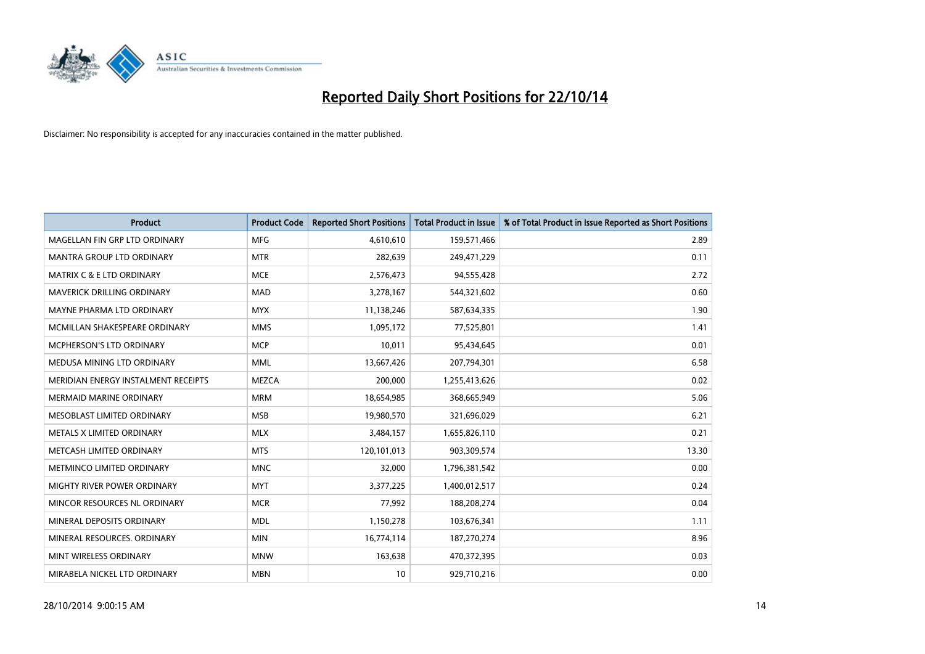

| <b>Product</b>                       | <b>Product Code</b> | <b>Reported Short Positions</b> | <b>Total Product in Issue</b> | % of Total Product in Issue Reported as Short Positions |
|--------------------------------------|---------------------|---------------------------------|-------------------------------|---------------------------------------------------------|
| MAGELLAN FIN GRP LTD ORDINARY        | <b>MFG</b>          | 4,610,610                       | 159,571,466                   | 2.89                                                    |
| MANTRA GROUP LTD ORDINARY            | <b>MTR</b>          | 282,639                         | 249,471,229                   | 0.11                                                    |
| <b>MATRIX C &amp; E LTD ORDINARY</b> | <b>MCE</b>          | 2,576,473                       | 94,555,428                    | 2.72                                                    |
| MAVERICK DRILLING ORDINARY           | <b>MAD</b>          | 3,278,167                       | 544,321,602                   | 0.60                                                    |
| MAYNE PHARMA LTD ORDINARY            | <b>MYX</b>          | 11,138,246                      | 587,634,335                   | 1.90                                                    |
| MCMILLAN SHAKESPEARE ORDINARY        | <b>MMS</b>          | 1,095,172                       | 77,525,801                    | 1.41                                                    |
| MCPHERSON'S LTD ORDINARY             | <b>MCP</b>          | 10,011                          | 95,434,645                    | 0.01                                                    |
| MEDUSA MINING LTD ORDINARY           | <b>MML</b>          | 13,667,426                      | 207,794,301                   | 6.58                                                    |
| MERIDIAN ENERGY INSTALMENT RECEIPTS  | <b>MEZCA</b>        | 200,000                         | 1,255,413,626                 | 0.02                                                    |
| MERMAID MARINE ORDINARY              | <b>MRM</b>          | 18,654,985                      | 368,665,949                   | 5.06                                                    |
| MESOBLAST LIMITED ORDINARY           | <b>MSB</b>          | 19,980,570                      | 321,696,029                   | 6.21                                                    |
| METALS X LIMITED ORDINARY            | <b>MLX</b>          | 3,484,157                       | 1,655,826,110                 | 0.21                                                    |
| METCASH LIMITED ORDINARY             | <b>MTS</b>          | 120,101,013                     | 903,309,574                   | 13.30                                                   |
| METMINCO LIMITED ORDINARY            | <b>MNC</b>          | 32,000                          | 1,796,381,542                 | 0.00                                                    |
| MIGHTY RIVER POWER ORDINARY          | <b>MYT</b>          | 3,377,225                       | 1,400,012,517                 | 0.24                                                    |
| MINCOR RESOURCES NL ORDINARY         | <b>MCR</b>          | 77,992                          | 188,208,274                   | 0.04                                                    |
| MINERAL DEPOSITS ORDINARY            | <b>MDL</b>          | 1,150,278                       | 103,676,341                   | 1.11                                                    |
| MINERAL RESOURCES. ORDINARY          | <b>MIN</b>          | 16,774,114                      | 187,270,274                   | 8.96                                                    |
| MINT WIRELESS ORDINARY               | <b>MNW</b>          | 163,638                         | 470,372,395                   | 0.03                                                    |
| MIRABELA NICKEL LTD ORDINARY         | <b>MBN</b>          | 10                              | 929,710,216                   | 0.00                                                    |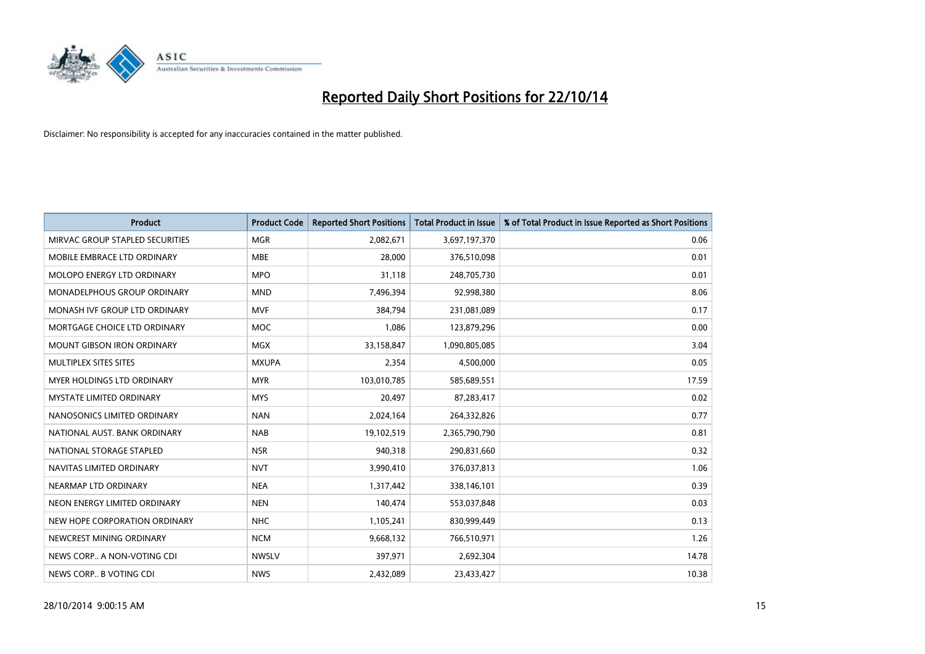

| <b>Product</b>                    | <b>Product Code</b> | <b>Reported Short Positions</b> | <b>Total Product in Issue</b> | % of Total Product in Issue Reported as Short Positions |
|-----------------------------------|---------------------|---------------------------------|-------------------------------|---------------------------------------------------------|
| MIRVAC GROUP STAPLED SECURITIES   | <b>MGR</b>          | 2,082,671                       | 3,697,197,370                 | 0.06                                                    |
| MOBILE EMBRACE LTD ORDINARY       | <b>MBE</b>          | 28,000                          | 376,510,098                   | 0.01                                                    |
| <b>MOLOPO ENERGY LTD ORDINARY</b> | <b>MPO</b>          | 31,118                          | 248,705,730                   | 0.01                                                    |
| MONADELPHOUS GROUP ORDINARY       | <b>MND</b>          | 7,496,394                       | 92,998,380                    | 8.06                                                    |
| MONASH IVF GROUP LTD ORDINARY     | <b>MVF</b>          | 384,794                         | 231,081,089                   | 0.17                                                    |
| MORTGAGE CHOICE LTD ORDINARY      | <b>MOC</b>          | 1,086                           | 123,879,296                   | 0.00                                                    |
| <b>MOUNT GIBSON IRON ORDINARY</b> | <b>MGX</b>          | 33,158,847                      | 1,090,805,085                 | 3.04                                                    |
| MULTIPLEX SITES SITES             | <b>MXUPA</b>        | 2,354                           | 4,500,000                     | 0.05                                                    |
| MYER HOLDINGS LTD ORDINARY        | <b>MYR</b>          | 103,010,785                     | 585,689,551                   | 17.59                                                   |
| <b>MYSTATE LIMITED ORDINARY</b>   | <b>MYS</b>          | 20,497                          | 87,283,417                    | 0.02                                                    |
| NANOSONICS LIMITED ORDINARY       | <b>NAN</b>          | 2,024,164                       | 264,332,826                   | 0.77                                                    |
| NATIONAL AUST, BANK ORDINARY      | <b>NAB</b>          | 19,102,519                      | 2,365,790,790                 | 0.81                                                    |
| NATIONAL STORAGE STAPLED          | <b>NSR</b>          | 940,318                         | 290,831,660                   | 0.32                                                    |
| NAVITAS LIMITED ORDINARY          | <b>NVT</b>          | 3,990,410                       | 376,037,813                   | 1.06                                                    |
| NEARMAP LTD ORDINARY              | <b>NEA</b>          | 1,317,442                       | 338,146,101                   | 0.39                                                    |
| NEON ENERGY LIMITED ORDINARY      | <b>NEN</b>          | 140,474                         | 553,037,848                   | 0.03                                                    |
| NEW HOPE CORPORATION ORDINARY     | <b>NHC</b>          | 1,105,241                       | 830,999,449                   | 0.13                                                    |
| NEWCREST MINING ORDINARY          | <b>NCM</b>          | 9,668,132                       | 766,510,971                   | 1.26                                                    |
| NEWS CORP A NON-VOTING CDI        | <b>NWSLV</b>        | 397,971                         | 2,692,304                     | 14.78                                                   |
| NEWS CORP B VOTING CDI            | <b>NWS</b>          | 2,432,089                       | 23,433,427                    | 10.38                                                   |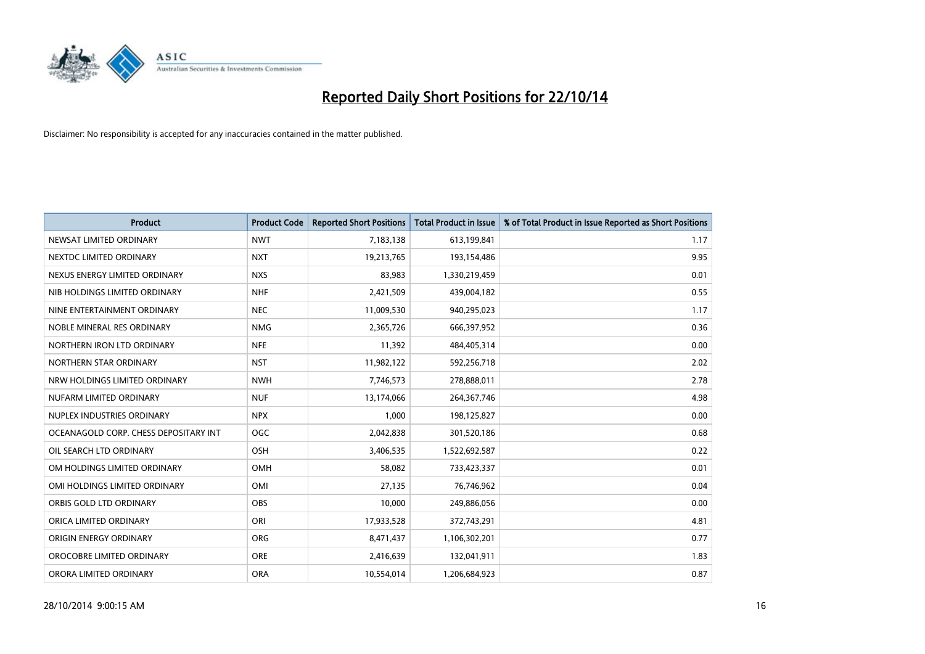

| <b>Product</b>                        | <b>Product Code</b> | <b>Reported Short Positions</b> | <b>Total Product in Issue</b> | % of Total Product in Issue Reported as Short Positions |
|---------------------------------------|---------------------|---------------------------------|-------------------------------|---------------------------------------------------------|
| NEWSAT LIMITED ORDINARY               | <b>NWT</b>          | 7,183,138                       | 613,199,841                   | 1.17                                                    |
| NEXTDC LIMITED ORDINARY               | <b>NXT</b>          | 19,213,765                      | 193,154,486                   | 9.95                                                    |
| NEXUS ENERGY LIMITED ORDINARY         | <b>NXS</b>          | 83,983                          | 1,330,219,459                 | 0.01                                                    |
| NIB HOLDINGS LIMITED ORDINARY         | <b>NHF</b>          | 2,421,509                       | 439,004,182                   | 0.55                                                    |
| NINE ENTERTAINMENT ORDINARY           | <b>NEC</b>          | 11,009,530                      | 940,295,023                   | 1.17                                                    |
| NOBLE MINERAL RES ORDINARY            | <b>NMG</b>          | 2,365,726                       | 666,397,952                   | 0.36                                                    |
| NORTHERN IRON LTD ORDINARY            | <b>NFE</b>          | 11,392                          | 484,405,314                   | 0.00                                                    |
| NORTHERN STAR ORDINARY                | <b>NST</b>          | 11,982,122                      | 592,256,718                   | 2.02                                                    |
| NRW HOLDINGS LIMITED ORDINARY         | <b>NWH</b>          | 7,746,573                       | 278,888,011                   | 2.78                                                    |
| NUFARM LIMITED ORDINARY               | <b>NUF</b>          | 13,174,066                      | 264, 367, 746                 | 4.98                                                    |
| NUPLEX INDUSTRIES ORDINARY            | <b>NPX</b>          | 1,000                           | 198,125,827                   | 0.00                                                    |
| OCEANAGOLD CORP. CHESS DEPOSITARY INT | <b>OGC</b>          | 2,042,838                       | 301,520,186                   | 0.68                                                    |
| OIL SEARCH LTD ORDINARY               | OSH                 | 3,406,535                       | 1,522,692,587                 | 0.22                                                    |
| OM HOLDINGS LIMITED ORDINARY          | OMH                 | 58,082                          | 733,423,337                   | 0.01                                                    |
| OMI HOLDINGS LIMITED ORDINARY         | OMI                 | 27,135                          | 76,746,962                    | 0.04                                                    |
| ORBIS GOLD LTD ORDINARY               | <b>OBS</b>          | 10,000                          | 249,886,056                   | 0.00                                                    |
| ORICA LIMITED ORDINARY                | ORI                 | 17,933,528                      | 372,743,291                   | 4.81                                                    |
| ORIGIN ENERGY ORDINARY                | <b>ORG</b>          | 8,471,437                       | 1,106,302,201                 | 0.77                                                    |
| OROCOBRE LIMITED ORDINARY             | <b>ORE</b>          | 2,416,639                       | 132,041,911                   | 1.83                                                    |
| ORORA LIMITED ORDINARY                | <b>ORA</b>          | 10,554,014                      | 1,206,684,923                 | 0.87                                                    |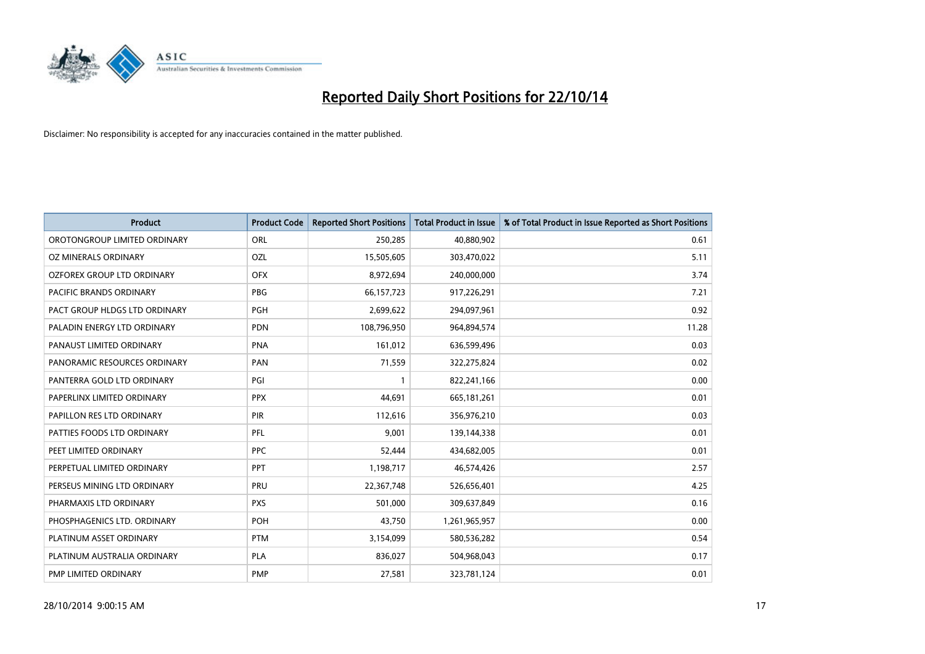

| <b>Product</b>                 | <b>Product Code</b> | <b>Reported Short Positions</b> | <b>Total Product in Issue</b> | % of Total Product in Issue Reported as Short Positions |
|--------------------------------|---------------------|---------------------------------|-------------------------------|---------------------------------------------------------|
| OROTONGROUP LIMITED ORDINARY   | ORL                 | 250,285                         | 40,880,902                    | 0.61                                                    |
| OZ MINERALS ORDINARY           | OZL                 | 15,505,605                      | 303,470,022                   | 5.11                                                    |
| OZFOREX GROUP LTD ORDINARY     | <b>OFX</b>          | 8,972,694                       | 240,000,000                   | 3.74                                                    |
| <b>PACIFIC BRANDS ORDINARY</b> | <b>PBG</b>          | 66, 157, 723                    | 917,226,291                   | 7.21                                                    |
| PACT GROUP HLDGS LTD ORDINARY  | <b>PGH</b>          | 2,699,622                       | 294,097,961                   | 0.92                                                    |
| PALADIN ENERGY LTD ORDINARY    | <b>PDN</b>          | 108,796,950                     | 964,894,574                   | 11.28                                                   |
| PANAUST LIMITED ORDINARY       | <b>PNA</b>          | 161,012                         | 636,599,496                   | 0.03                                                    |
| PANORAMIC RESOURCES ORDINARY   | PAN                 | 71,559                          | 322,275,824                   | 0.02                                                    |
| PANTERRA GOLD LTD ORDINARY     | PGI                 | $\mathbf{1}$                    | 822,241,166                   | 0.00                                                    |
| PAPERLINX LIMITED ORDINARY     | <b>PPX</b>          | 44,691                          | 665,181,261                   | 0.01                                                    |
| PAPILLON RES LTD ORDINARY      | PIR                 | 112,616                         | 356,976,210                   | 0.03                                                    |
| PATTIES FOODS LTD ORDINARY     | PFL                 | 9,001                           | 139,144,338                   | 0.01                                                    |
| PEET LIMITED ORDINARY          | <b>PPC</b>          | 52,444                          | 434,682,005                   | 0.01                                                    |
| PERPETUAL LIMITED ORDINARY     | PPT                 | 1,198,717                       | 46,574,426                    | 2.57                                                    |
| PERSEUS MINING LTD ORDINARY    | PRU                 | 22,367,748                      | 526,656,401                   | 4.25                                                    |
| PHARMAXIS LTD ORDINARY         | <b>PXS</b>          | 501,000                         | 309,637,849                   | 0.16                                                    |
| PHOSPHAGENICS LTD. ORDINARY    | <b>POH</b>          | 43,750                          | 1,261,965,957                 | 0.00                                                    |
| PLATINUM ASSET ORDINARY        | <b>PTM</b>          | 3,154,099                       | 580,536,282                   | 0.54                                                    |
| PLATINUM AUSTRALIA ORDINARY    | <b>PLA</b>          | 836,027                         | 504,968,043                   | 0.17                                                    |
| PMP LIMITED ORDINARY           | <b>PMP</b>          | 27,581                          | 323,781,124                   | 0.01                                                    |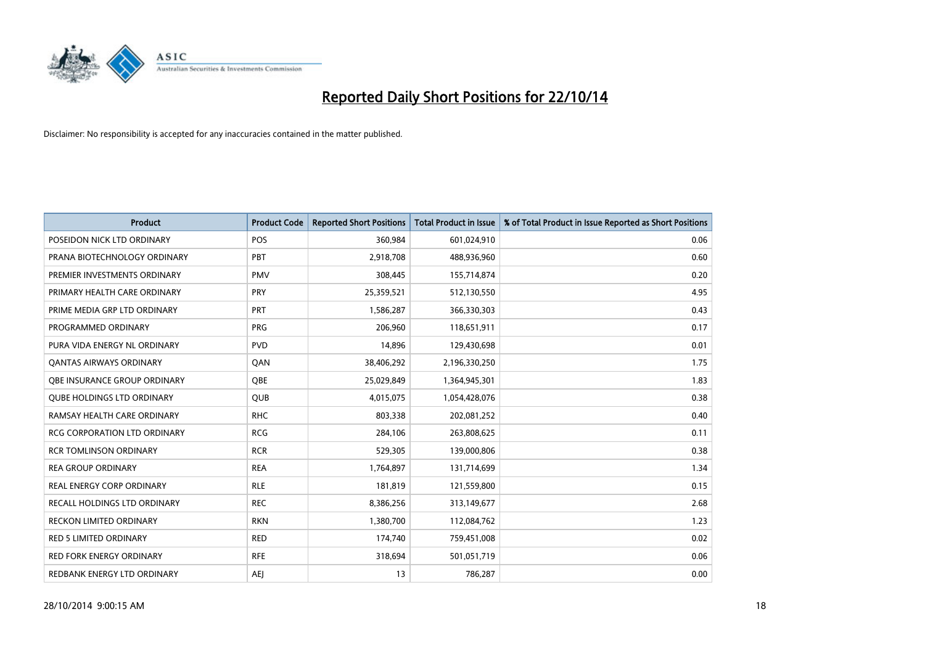

| <b>Product</b>                      | <b>Product Code</b> | <b>Reported Short Positions</b> | <b>Total Product in Issue</b> | % of Total Product in Issue Reported as Short Positions |
|-------------------------------------|---------------------|---------------------------------|-------------------------------|---------------------------------------------------------|
| POSEIDON NICK LTD ORDINARY          | <b>POS</b>          | 360,984                         | 601,024,910                   | 0.06                                                    |
| PRANA BIOTECHNOLOGY ORDINARY        | PBT                 | 2,918,708                       | 488,936,960                   | 0.60                                                    |
| PREMIER INVESTMENTS ORDINARY        | <b>PMV</b>          | 308,445                         | 155,714,874                   | 0.20                                                    |
| PRIMARY HEALTH CARE ORDINARY        | <b>PRY</b>          | 25,359,521                      | 512,130,550                   | 4.95                                                    |
| PRIME MEDIA GRP LTD ORDINARY        | <b>PRT</b>          | 1,586,287                       | 366,330,303                   | 0.43                                                    |
| PROGRAMMED ORDINARY                 | <b>PRG</b>          | 206,960                         | 118,651,911                   | 0.17                                                    |
| PURA VIDA ENERGY NL ORDINARY        | <b>PVD</b>          | 14,896                          | 129,430,698                   | 0.01                                                    |
| <b>QANTAS AIRWAYS ORDINARY</b>      | QAN                 | 38,406,292                      | 2,196,330,250                 | 1.75                                                    |
| OBE INSURANCE GROUP ORDINARY        | OBE                 | 25,029,849                      | 1,364,945,301                 | 1.83                                                    |
| <b>QUBE HOLDINGS LTD ORDINARY</b>   | QUB                 | 4,015,075                       | 1,054,428,076                 | 0.38                                                    |
| RAMSAY HEALTH CARE ORDINARY         | <b>RHC</b>          | 803,338                         | 202,081,252                   | 0.40                                                    |
| <b>RCG CORPORATION LTD ORDINARY</b> | <b>RCG</b>          | 284,106                         | 263,808,625                   | 0.11                                                    |
| <b>RCR TOMLINSON ORDINARY</b>       | <b>RCR</b>          | 529,305                         | 139,000,806                   | 0.38                                                    |
| <b>REA GROUP ORDINARY</b>           | <b>REA</b>          | 1,764,897                       | 131,714,699                   | 1.34                                                    |
| <b>REAL ENERGY CORP ORDINARY</b>    | <b>RLE</b>          | 181,819                         | 121,559,800                   | 0.15                                                    |
| RECALL HOLDINGS LTD ORDINARY        | <b>REC</b>          | 8,386,256                       | 313,149,677                   | 2.68                                                    |
| RECKON LIMITED ORDINARY             | <b>RKN</b>          | 1,380,700                       | 112,084,762                   | 1.23                                                    |
| <b>RED 5 LIMITED ORDINARY</b>       | <b>RED</b>          | 174,740                         | 759,451,008                   | 0.02                                                    |
| <b>RED FORK ENERGY ORDINARY</b>     | <b>RFE</b>          | 318,694                         | 501,051,719                   | 0.06                                                    |
| REDBANK ENERGY LTD ORDINARY         | AEJ                 | 13                              | 786,287                       | 0.00                                                    |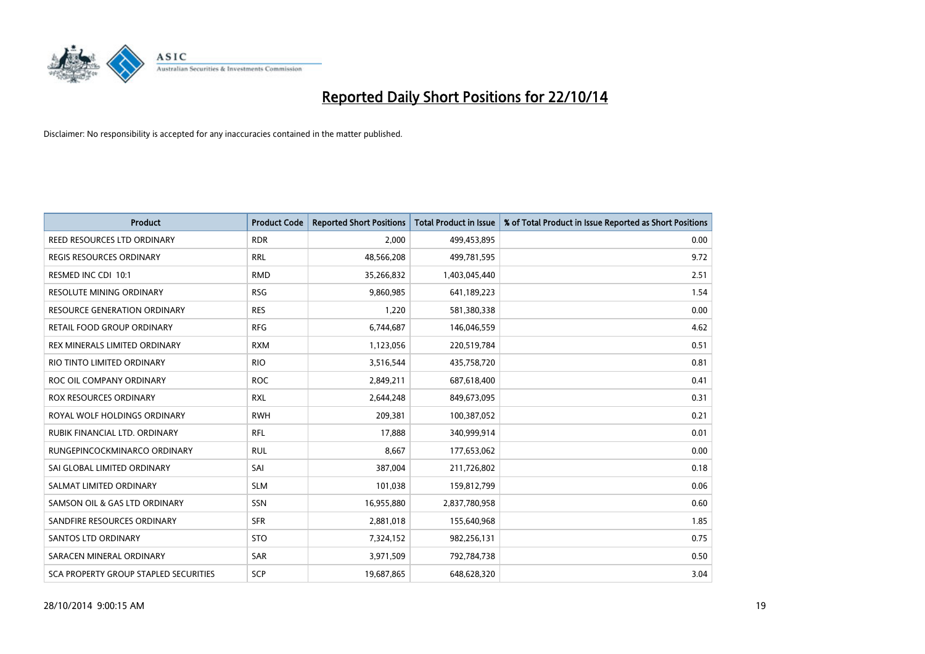

| <b>Product</b>                        | <b>Product Code</b> | <b>Reported Short Positions</b> | <b>Total Product in Issue</b> | % of Total Product in Issue Reported as Short Positions |
|---------------------------------------|---------------------|---------------------------------|-------------------------------|---------------------------------------------------------|
| REED RESOURCES LTD ORDINARY           | <b>RDR</b>          | 2.000                           | 499,453,895                   | 0.00                                                    |
| REGIS RESOURCES ORDINARY              | <b>RRL</b>          | 48,566,208                      | 499,781,595                   | 9.72                                                    |
| RESMED INC CDI 10:1                   | <b>RMD</b>          | 35,266,832                      | 1,403,045,440                 | 2.51                                                    |
| <b>RESOLUTE MINING ORDINARY</b>       | <b>RSG</b>          | 9,860,985                       | 641,189,223                   | 1.54                                                    |
| <b>RESOURCE GENERATION ORDINARY</b>   | <b>RES</b>          | 1,220                           | 581,380,338                   | 0.00                                                    |
| RETAIL FOOD GROUP ORDINARY            | <b>RFG</b>          | 6,744,687                       | 146,046,559                   | 4.62                                                    |
| REX MINERALS LIMITED ORDINARY         | <b>RXM</b>          | 1,123,056                       | 220,519,784                   | 0.51                                                    |
| RIO TINTO LIMITED ORDINARY            | <b>RIO</b>          | 3,516,544                       | 435,758,720                   | 0.81                                                    |
| ROC OIL COMPANY ORDINARY              | <b>ROC</b>          | 2,849,211                       | 687,618,400                   | 0.41                                                    |
| <b>ROX RESOURCES ORDINARY</b>         | <b>RXL</b>          | 2,644,248                       | 849,673,095                   | 0.31                                                    |
| ROYAL WOLF HOLDINGS ORDINARY          | <b>RWH</b>          | 209,381                         | 100,387,052                   | 0.21                                                    |
| RUBIK FINANCIAL LTD. ORDINARY         | RFL                 | 17,888                          | 340,999,914                   | 0.01                                                    |
| RUNGEPINCOCKMINARCO ORDINARY          | <b>RUL</b>          | 8,667                           | 177,653,062                   | 0.00                                                    |
| SAI GLOBAL LIMITED ORDINARY           | SAI                 | 387,004                         | 211,726,802                   | 0.18                                                    |
| SALMAT LIMITED ORDINARY               | <b>SLM</b>          | 101,038                         | 159,812,799                   | 0.06                                                    |
| SAMSON OIL & GAS LTD ORDINARY         | SSN                 | 16,955,880                      | 2,837,780,958                 | 0.60                                                    |
| SANDFIRE RESOURCES ORDINARY           | <b>SFR</b>          | 2,881,018                       | 155,640,968                   | 1.85                                                    |
| <b>SANTOS LTD ORDINARY</b>            | <b>STO</b>          | 7,324,152                       | 982,256,131                   | 0.75                                                    |
| SARACEN MINERAL ORDINARY              | <b>SAR</b>          | 3,971,509                       | 792,784,738                   | 0.50                                                    |
| SCA PROPERTY GROUP STAPLED SECURITIES | SCP                 | 19,687,865                      | 648,628,320                   | 3.04                                                    |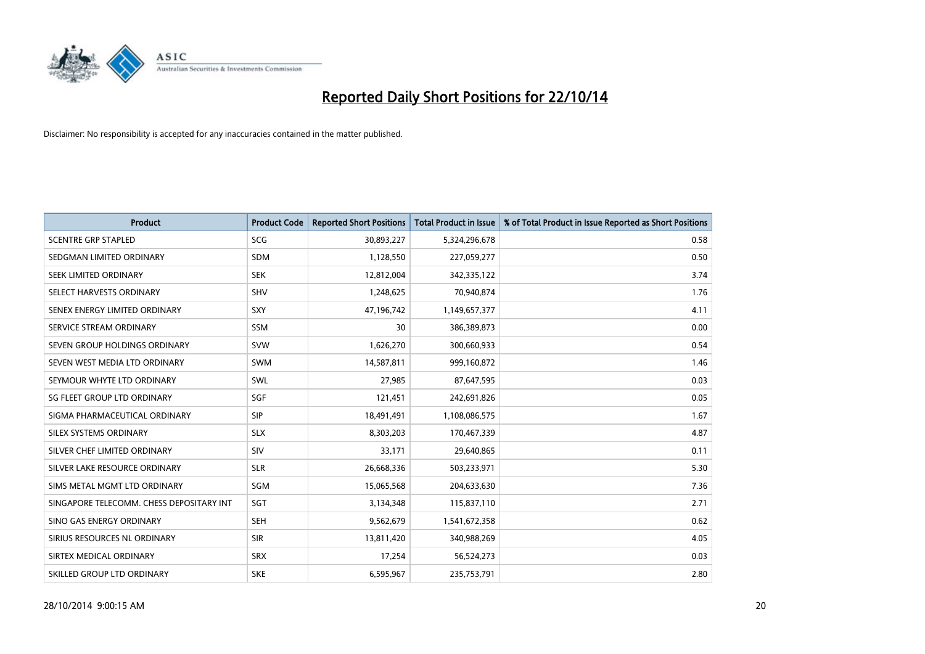

| <b>Product</b>                           | <b>Product Code</b> | <b>Reported Short Positions</b> | <b>Total Product in Issue</b> | % of Total Product in Issue Reported as Short Positions |
|------------------------------------------|---------------------|---------------------------------|-------------------------------|---------------------------------------------------------|
| <b>SCENTRE GRP STAPLED</b>               | SCG                 | 30,893,227                      | 5,324,296,678                 | 0.58                                                    |
| SEDGMAN LIMITED ORDINARY                 | <b>SDM</b>          | 1,128,550                       | 227,059,277                   | 0.50                                                    |
| SEEK LIMITED ORDINARY                    | <b>SEK</b>          | 12,812,004                      | 342,335,122                   | 3.74                                                    |
| SELECT HARVESTS ORDINARY                 | <b>SHV</b>          | 1,248,625                       | 70,940,874                    | 1.76                                                    |
| SENEX ENERGY LIMITED ORDINARY            | <b>SXY</b>          | 47,196,742                      | 1,149,657,377                 | 4.11                                                    |
| SERVICE STREAM ORDINARY                  | SSM                 | 30                              | 386,389,873                   | 0.00                                                    |
| SEVEN GROUP HOLDINGS ORDINARY            | <b>SVW</b>          | 1,626,270                       | 300,660,933                   | 0.54                                                    |
| SEVEN WEST MEDIA LTD ORDINARY            | <b>SWM</b>          | 14,587,811                      | 999,160,872                   | 1.46                                                    |
| SEYMOUR WHYTE LTD ORDINARY               | SWL                 | 27,985                          | 87,647,595                    | 0.03                                                    |
| SG FLEET GROUP LTD ORDINARY              | SGF                 | 121,451                         | 242,691,826                   | 0.05                                                    |
| SIGMA PHARMACEUTICAL ORDINARY            | <b>SIP</b>          | 18,491,491                      | 1,108,086,575                 | 1.67                                                    |
| SILEX SYSTEMS ORDINARY                   | <b>SLX</b>          | 8,303,203                       | 170,467,339                   | 4.87                                                    |
| SILVER CHEF LIMITED ORDINARY             | <b>SIV</b>          | 33,171                          | 29,640,865                    | 0.11                                                    |
| SILVER LAKE RESOURCE ORDINARY            | <b>SLR</b>          | 26,668,336                      | 503,233,971                   | 5.30                                                    |
| SIMS METAL MGMT LTD ORDINARY             | SGM                 | 15,065,568                      | 204,633,630                   | 7.36                                                    |
| SINGAPORE TELECOMM. CHESS DEPOSITARY INT | SGT                 | 3,134,348                       | 115,837,110                   | 2.71                                                    |
| SINO GAS ENERGY ORDINARY                 | <b>SEH</b>          | 9,562,679                       | 1,541,672,358                 | 0.62                                                    |
| SIRIUS RESOURCES NL ORDINARY             | <b>SIR</b>          | 13,811,420                      | 340,988,269                   | 4.05                                                    |
| SIRTEX MEDICAL ORDINARY                  | <b>SRX</b>          | 17,254                          | 56,524,273                    | 0.03                                                    |
| SKILLED GROUP LTD ORDINARY               | <b>SKE</b>          | 6,595,967                       | 235,753,791                   | 2.80                                                    |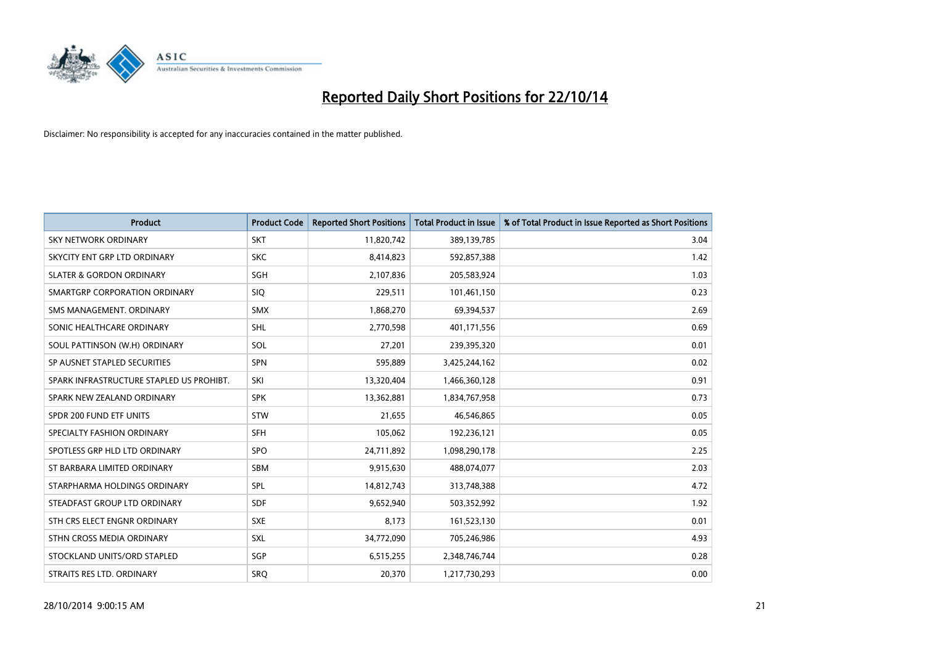

| <b>Product</b>                           | <b>Product Code</b> | <b>Reported Short Positions</b> | <b>Total Product in Issue</b> | % of Total Product in Issue Reported as Short Positions |
|------------------------------------------|---------------------|---------------------------------|-------------------------------|---------------------------------------------------------|
| SKY NETWORK ORDINARY                     | <b>SKT</b>          | 11,820,742                      | 389,139,785                   | 3.04                                                    |
| SKYCITY ENT GRP LTD ORDINARY             | <b>SKC</b>          | 8,414,823                       | 592,857,388                   | 1.42                                                    |
| <b>SLATER &amp; GORDON ORDINARY</b>      | SGH                 | 2,107,836                       | 205,583,924                   | 1.03                                                    |
| SMARTGRP CORPORATION ORDINARY            | <b>SIQ</b>          | 229,511                         | 101,461,150                   | 0.23                                                    |
| SMS MANAGEMENT, ORDINARY                 | <b>SMX</b>          | 1,868,270                       | 69,394,537                    | 2.69                                                    |
| SONIC HEALTHCARE ORDINARY                | SHL                 | 2,770,598                       | 401,171,556                   | 0.69                                                    |
| SOUL PATTINSON (W.H) ORDINARY            | SOL                 | 27,201                          | 239,395,320                   | 0.01                                                    |
| SP AUSNET STAPLED SECURITIES             | <b>SPN</b>          | 595,889                         | 3,425,244,162                 | 0.02                                                    |
| SPARK INFRASTRUCTURE STAPLED US PROHIBT. | SKI                 | 13,320,404                      | 1,466,360,128                 | 0.91                                                    |
| SPARK NEW ZEALAND ORDINARY               | <b>SPK</b>          | 13,362,881                      | 1,834,767,958                 | 0.73                                                    |
| SPDR 200 FUND ETF UNITS                  | <b>STW</b>          | 21,655                          | 46,546,865                    | 0.05                                                    |
| SPECIALTY FASHION ORDINARY               | <b>SFH</b>          | 105,062                         | 192,236,121                   | 0.05                                                    |
| SPOTLESS GRP HLD LTD ORDINARY            | <b>SPO</b>          | 24,711,892                      | 1,098,290,178                 | 2.25                                                    |
| ST BARBARA LIMITED ORDINARY              | <b>SBM</b>          | 9,915,630                       | 488,074,077                   | 2.03                                                    |
| STARPHARMA HOLDINGS ORDINARY             | <b>SPL</b>          | 14,812,743                      | 313,748,388                   | 4.72                                                    |
| STEADFAST GROUP LTD ORDINARY             | SDF                 | 9,652,940                       | 503,352,992                   | 1.92                                                    |
| STH CRS ELECT ENGNR ORDINARY             | <b>SXE</b>          | 8,173                           | 161,523,130                   | 0.01                                                    |
| STHN CROSS MEDIA ORDINARY                | <b>SXL</b>          | 34,772,090                      | 705,246,986                   | 4.93                                                    |
| STOCKLAND UNITS/ORD STAPLED              | SGP                 | 6,515,255                       | 2,348,746,744                 | 0.28                                                    |
| STRAITS RES LTD. ORDINARY                | <b>SRQ</b>          | 20,370                          | 1,217,730,293                 | 0.00                                                    |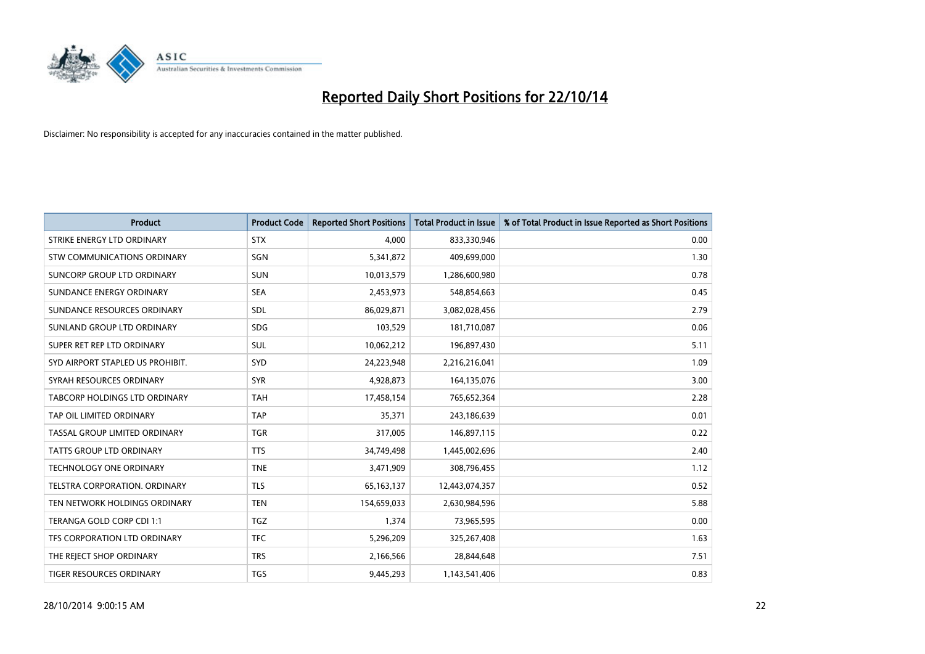

| <b>Product</b>                   | <b>Product Code</b> | <b>Reported Short Positions</b> | <b>Total Product in Issue</b> | % of Total Product in Issue Reported as Short Positions |
|----------------------------------|---------------------|---------------------------------|-------------------------------|---------------------------------------------------------|
| STRIKE ENERGY LTD ORDINARY       | <b>STX</b>          | 4,000                           | 833,330,946                   | 0.00                                                    |
| STW COMMUNICATIONS ORDINARY      | SGN                 | 5,341,872                       | 409,699,000                   | 1.30                                                    |
| SUNCORP GROUP LTD ORDINARY       | <b>SUN</b>          | 10,013,579                      | 1,286,600,980                 | 0.78                                                    |
| SUNDANCE ENERGY ORDINARY         | <b>SEA</b>          | 2,453,973                       | 548,854,663                   | 0.45                                                    |
| SUNDANCE RESOURCES ORDINARY      | SDL                 | 86,029,871                      | 3,082,028,456                 | 2.79                                                    |
| SUNLAND GROUP LTD ORDINARY       | <b>SDG</b>          | 103,529                         | 181,710,087                   | 0.06                                                    |
| SUPER RET REP LTD ORDINARY       | SUL                 | 10,062,212                      | 196,897,430                   | 5.11                                                    |
| SYD AIRPORT STAPLED US PROHIBIT. | SYD                 | 24,223,948                      | 2,216,216,041                 | 1.09                                                    |
| SYRAH RESOURCES ORDINARY         | <b>SYR</b>          | 4,928,873                       | 164,135,076                   | 3.00                                                    |
| TABCORP HOLDINGS LTD ORDINARY    | <b>TAH</b>          | 17,458,154                      | 765,652,364                   | 2.28                                                    |
| TAP OIL LIMITED ORDINARY         | <b>TAP</b>          | 35,371                          | 243,186,639                   | 0.01                                                    |
| TASSAL GROUP LIMITED ORDINARY    | <b>TGR</b>          | 317,005                         | 146,897,115                   | 0.22                                                    |
| <b>TATTS GROUP LTD ORDINARY</b>  | <b>TTS</b>          | 34,749,498                      | 1,445,002,696                 | 2.40                                                    |
| <b>TECHNOLOGY ONE ORDINARY</b>   | <b>TNE</b>          | 3,471,909                       | 308,796,455                   | 1.12                                                    |
| TELSTRA CORPORATION, ORDINARY    | <b>TLS</b>          | 65, 163, 137                    | 12,443,074,357                | 0.52                                                    |
| TEN NETWORK HOLDINGS ORDINARY    | <b>TEN</b>          | 154,659,033                     | 2,630,984,596                 | 5.88                                                    |
| TERANGA GOLD CORP CDI 1:1        | <b>TGZ</b>          | 1,374                           | 73,965,595                    | 0.00                                                    |
| TFS CORPORATION LTD ORDINARY     | <b>TFC</b>          | 5,296,209                       | 325,267,408                   | 1.63                                                    |
| THE REJECT SHOP ORDINARY         | <b>TRS</b>          | 2,166,566                       | 28,844,648                    | 7.51                                                    |
| TIGER RESOURCES ORDINARY         | <b>TGS</b>          | 9,445,293                       | 1,143,541,406                 | 0.83                                                    |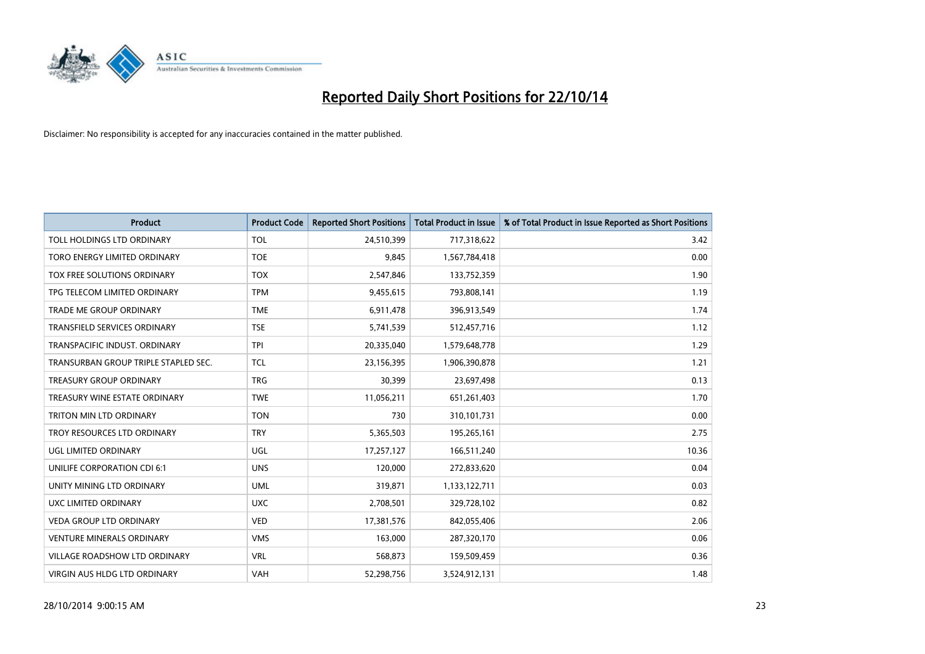

| <b>Product</b>                       | <b>Product Code</b> | <b>Reported Short Positions</b> | <b>Total Product in Issue</b> | % of Total Product in Issue Reported as Short Positions |
|--------------------------------------|---------------------|---------------------------------|-------------------------------|---------------------------------------------------------|
| TOLL HOLDINGS LTD ORDINARY           | <b>TOL</b>          | 24,510,399                      | 717,318,622                   | 3.42                                                    |
| TORO ENERGY LIMITED ORDINARY         | <b>TOE</b>          | 9,845                           | 1,567,784,418                 | 0.00                                                    |
| TOX FREE SOLUTIONS ORDINARY          | <b>TOX</b>          | 2,547,846                       | 133,752,359                   | 1.90                                                    |
| TPG TELECOM LIMITED ORDINARY         | <b>TPM</b>          | 9,455,615                       | 793,808,141                   | 1.19                                                    |
| <b>TRADE ME GROUP ORDINARY</b>       | <b>TME</b>          | 6,911,478                       | 396,913,549                   | 1.74                                                    |
| <b>TRANSFIELD SERVICES ORDINARY</b>  | <b>TSE</b>          | 5,741,539                       | 512,457,716                   | 1.12                                                    |
| TRANSPACIFIC INDUST, ORDINARY        | <b>TPI</b>          | 20,335,040                      | 1,579,648,778                 | 1.29                                                    |
| TRANSURBAN GROUP TRIPLE STAPLED SEC. | <b>TCL</b>          | 23,156,395                      | 1,906,390,878                 | 1.21                                                    |
| <b>TREASURY GROUP ORDINARY</b>       | <b>TRG</b>          | 30,399                          | 23,697,498                    | 0.13                                                    |
| TREASURY WINE ESTATE ORDINARY        | <b>TWE</b>          | 11,056,211                      | 651,261,403                   | 1.70                                                    |
| TRITON MIN LTD ORDINARY              | <b>TON</b>          | 730                             | 310,101,731                   | 0.00                                                    |
| TROY RESOURCES LTD ORDINARY          | <b>TRY</b>          | 5,365,503                       | 195,265,161                   | 2.75                                                    |
| UGL LIMITED ORDINARY                 | UGL                 | 17,257,127                      | 166,511,240                   | 10.36                                                   |
| UNILIFE CORPORATION CDI 6:1          | <b>UNS</b>          | 120,000                         | 272,833,620                   | 0.04                                                    |
| UNITY MINING LTD ORDINARY            | <b>UML</b>          | 319,871                         | 1,133,122,711                 | 0.03                                                    |
| UXC LIMITED ORDINARY                 | <b>UXC</b>          | 2,708,501                       | 329,728,102                   | 0.82                                                    |
| VEDA GROUP LTD ORDINARY              | <b>VED</b>          | 17,381,576                      | 842,055,406                   | 2.06                                                    |
| <b>VENTURE MINERALS ORDINARY</b>     | <b>VMS</b>          | 163,000                         | 287,320,170                   | 0.06                                                    |
| <b>VILLAGE ROADSHOW LTD ORDINARY</b> | <b>VRL</b>          | 568,873                         | 159,509,459                   | 0.36                                                    |
| VIRGIN AUS HLDG LTD ORDINARY         | VAH                 | 52,298,756                      | 3,524,912,131                 | 1.48                                                    |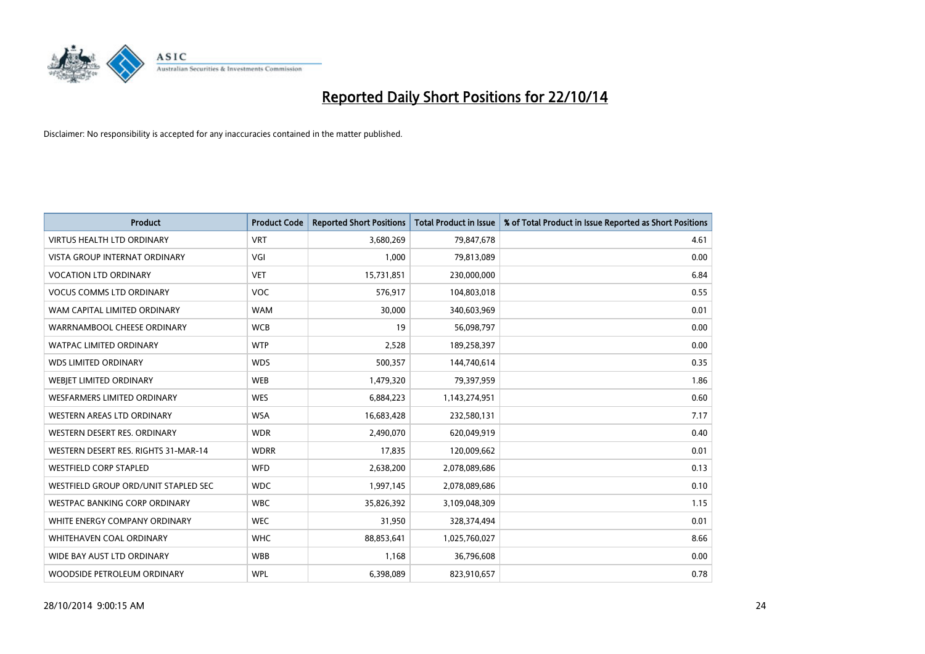

| <b>Product</b>                       | <b>Product Code</b> | <b>Reported Short Positions</b> | <b>Total Product in Issue</b> | % of Total Product in Issue Reported as Short Positions |
|--------------------------------------|---------------------|---------------------------------|-------------------------------|---------------------------------------------------------|
| <b>VIRTUS HEALTH LTD ORDINARY</b>    | <b>VRT</b>          | 3,680,269                       | 79,847,678                    | 4.61                                                    |
| <b>VISTA GROUP INTERNAT ORDINARY</b> | VGI                 | 1,000                           | 79,813,089                    | 0.00                                                    |
| <b>VOCATION LTD ORDINARY</b>         | <b>VET</b>          | 15,731,851                      | 230,000,000                   | 6.84                                                    |
| <b>VOCUS COMMS LTD ORDINARY</b>      | <b>VOC</b>          | 576,917                         | 104,803,018                   | 0.55                                                    |
| WAM CAPITAL LIMITED ORDINARY         | <b>WAM</b>          | 30,000                          | 340,603,969                   | 0.01                                                    |
| WARRNAMBOOL CHEESE ORDINARY          | <b>WCB</b>          | 19                              | 56,098,797                    | 0.00                                                    |
| <b>WATPAC LIMITED ORDINARY</b>       | <b>WTP</b>          | 2,528                           | 189,258,397                   | 0.00                                                    |
| <b>WDS LIMITED ORDINARY</b>          | <b>WDS</b>          | 500,357                         | 144,740,614                   | 0.35                                                    |
| WEBIET LIMITED ORDINARY              | <b>WEB</b>          | 1,479,320                       | 79,397,959                    | 1.86                                                    |
| <b>WESFARMERS LIMITED ORDINARY</b>   | <b>WES</b>          | 6,884,223                       | 1,143,274,951                 | 0.60                                                    |
| WESTERN AREAS LTD ORDINARY           | <b>WSA</b>          | 16,683,428                      | 232,580,131                   | 7.17                                                    |
| WESTERN DESERT RES. ORDINARY         | <b>WDR</b>          | 2,490,070                       | 620,049,919                   | 0.40                                                    |
| WESTERN DESERT RES. RIGHTS 31-MAR-14 | <b>WDRR</b>         | 17,835                          | 120,009,662                   | 0.01                                                    |
| <b>WESTFIELD CORP STAPLED</b>        | <b>WFD</b>          | 2,638,200                       | 2,078,089,686                 | 0.13                                                    |
| WESTFIELD GROUP ORD/UNIT STAPLED SEC | <b>WDC</b>          | 1,997,145                       | 2,078,089,686                 | 0.10                                                    |
| <b>WESTPAC BANKING CORP ORDINARY</b> | <b>WBC</b>          | 35,826,392                      | 3,109,048,309                 | 1.15                                                    |
| WHITE ENERGY COMPANY ORDINARY        | <b>WEC</b>          | 31,950                          | 328,374,494                   | 0.01                                                    |
| <b>WHITEHAVEN COAL ORDINARY</b>      | <b>WHC</b>          | 88,853,641                      | 1,025,760,027                 | 8.66                                                    |
| WIDE BAY AUST LTD ORDINARY           | <b>WBB</b>          | 1,168                           | 36,796,608                    | 0.00                                                    |
| WOODSIDE PETROLEUM ORDINARY          | <b>WPL</b>          | 6,398,089                       | 823,910,657                   | 0.78                                                    |